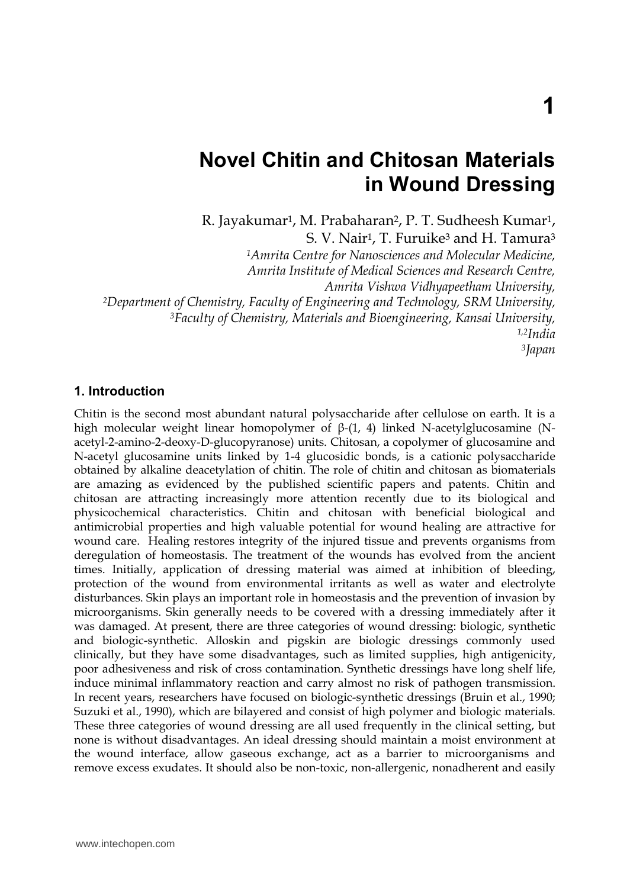# **Novel Chitin and Chitosan Materials in Wound Dressing**

R. Jayakumar1, M. Prabaharan2, P. T. Sudheesh Kumar1, S. V. Nair<sup>1</sup>, T. Furuike<sup>3</sup> and H. Tamura<sup>3</sup>

*<sup>1</sup>Amrita Centre for Nanosciences and Molecular Medicine,* 

*Amrita Institute of Medical Sciences and Research Centre,* 

*Amrita Vishwa Vidhyapeetham University,* 

*<sup>2</sup>Department of Chemistry, Faculty of Engineering and Technology, SRM University, <sup>3</sup>Faculty of Chemistry, Materials and Bioengineering, Kansai University, 1,2India* 

*3 Japan* 

### **1. Introduction**

Chitin is the second most abundant natural polysaccharide after cellulose on earth. It is a high molecular weight linear homopolymer of  $\beta$ -(1, 4) linked N-acetylglucosamine (Nacetyl-2-amino-2-deoxy-D-glucopyranose) units. Chitosan, a copolymer of glucosamine and N-acetyl glucosamine units linked by 1-4 glucosidic bonds, is a cationic polysaccharide obtained by alkaline deacetylation of chitin. The role of chitin and chitosan as biomaterials are amazing as evidenced by the published scientific papers and patents. Chitin and chitosan are attracting increasingly more attention recently due to its biological and physicochemical characteristics. Chitin and chitosan with beneficial biological and antimicrobial properties and high valuable potential for wound healing are attractive for wound care. Healing restores integrity of the injured tissue and prevents organisms from deregulation of homeostasis. The treatment of the wounds has evolved from the ancient times. Initially, application of dressing material was aimed at inhibition of bleeding, protection of the wound from environmental irritants as well as water and electrolyte disturbances. Skin plays an important role in homeostasis and the prevention of invasion by microorganisms. Skin generally needs to be covered with a dressing immediately after it was damaged. At present, there are three categories of wound dressing: biologic, synthetic and biologic-synthetic. Alloskin and pigskin are biologic dressings commonly used clinically, but they have some disadvantages, such as limited supplies, high antigenicity, poor adhesiveness and risk of cross contamination. Synthetic dressings have long shelf life, induce minimal inflammatory reaction and carry almost no risk of pathogen transmission. In recent years, researchers have focused on biologic-synthetic dressings (Bruin et al., 1990; Suzuki et al., 1990), which are bilayered and consist of high polymer and biologic materials. These three categories of wound dressing are all used frequently in the clinical setting, but none is without disadvantages. An ideal dressing should maintain a moist environment at the wound interface, allow gaseous exchange, act as a barrier to microorganisms and remove excess exudates. It should also be non-toxic, non-allergenic, nonadherent and easily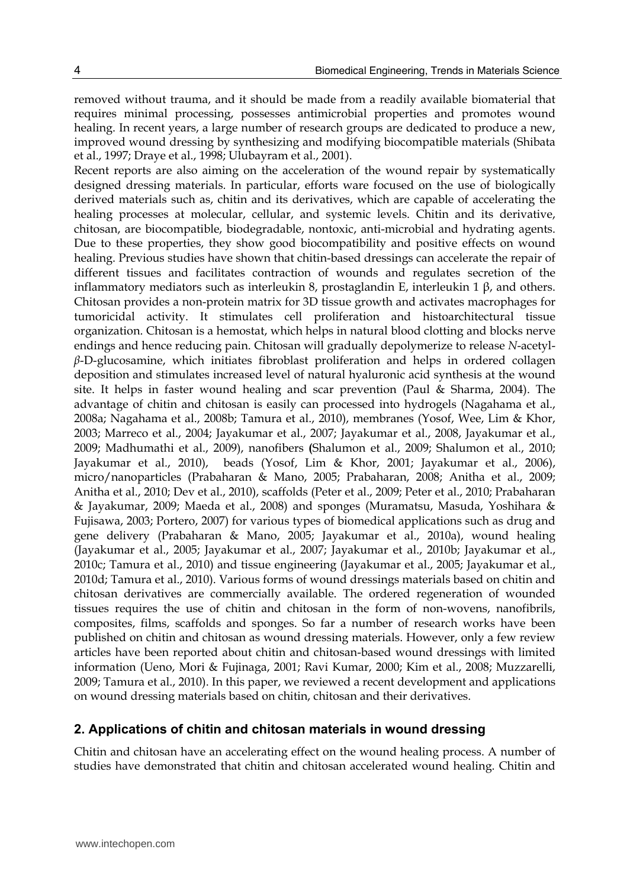removed without trauma, and it should be made from a readily available biomaterial that requires minimal processing, possesses antimicrobial properties and promotes wound healing. In recent years, a large number of research groups are dedicated to produce a new, improved wound dressing by synthesizing and modifying biocompatible materials (Shibata et al., 1997; Draye et al., 1998; Ulubayram et al., 2001).

Recent reports are also aiming on the acceleration of the wound repair by systematically designed dressing materials. In particular, efforts ware focused on the use of biologically derived materials such as, chitin and its derivatives, which are capable of accelerating the healing processes at molecular, cellular, and systemic levels. Chitin and its derivative, chitosan, are biocompatible, biodegradable, nontoxic, anti-microbial and hydrating agents. Due to these properties, they show good biocompatibility and positive effects on wound healing. Previous studies have shown that chitin-based dressings can accelerate the repair of different tissues and facilitates contraction of wounds and regulates secretion of the inflammatory mediators such as interleukin 8, prostaglandin E, interleukin 1  $β$ , and others. Chitosan provides a non-protein matrix for 3D tissue growth and activates macrophages for tumoricidal activity. It stimulates cell proliferation and histoarchitectural tissue organization. Chitosan is a hemostat, which helps in natural blood clotting and blocks nerve endings and hence reducing pain. Chitosan will gradually depolymerize to release *N*-acetyl-  $\beta$ -D-glucosamine, which initiates fibroblast proliferation and helps in ordered collagen deposition and stimulates increased level of natural hyaluronic acid synthesis at the wound site. It helps in faster wound healing and scar prevention (Paul & Sharma, 2004). The advantage of chitin and chitosan is easily can processed into hydrogels (Nagahama et al., 2008a; Nagahama et al., 2008b; Tamura et al., 2010), membranes (Yosof, Wee, Lim & Khor, 2003; Marreco et al., 2004; Jayakumar et al., 2007; Jayakumar et al., 2008, Jayakumar et al., 2009; Madhumathi et al., 2009), nanofibers **(**Shalumon et al., 2009; Shalumon et al., 2010; Jayakumar et al., 2010), beads (Yosof, Lim & Khor, 2001; Jayakumar et al., 2006), micro/nanoparticles (Prabaharan & Mano, 2005; Prabaharan, 2008; Anitha et al., 2009; Anitha et al., 2010; Dev et al., 2010), scaffolds (Peter et al., 2009; Peter et al., 2010; Prabaharan & Jayakumar, 2009; Maeda et al., 2008) and sponges (Muramatsu, Masuda, Yoshihara & Fujisawa, 2003; Portero, 2007) for various types of biomedical applications such as drug and gene delivery (Prabaharan & Mano, 2005; Jayakumar et al., 2010a), wound healing (Jayakumar et al., 2005; Jayakumar et al., 2007; Jayakumar et al., 2010b; Jayakumar et al., 2010c; Tamura et al., 2010) and tissue engineering (Jayakumar et al., 2005; Jayakumar et al., 2010d; Tamura et al., 2010). Various forms of wound dressings materials based on chitin and chitosan derivatives are commercially available. The ordered regeneration of wounded tissues requires the use of chitin and chitosan in the form of non-wovens, nanofibrils, composites, films, scaffolds and sponges. So far a number of research works have been published on chitin and chitosan as wound dressing materials. However, only a few review articles have been reported about chitin and chitosan-based wound dressings with limited information (Ueno, Mori & Fujinaga, 2001; Ravi Kumar, 2000; Kim et al., 2008; Muzzarelli, 2009; Tamura et al., 2010). In this paper, we reviewed a recent development and applications on wound dressing materials based on chitin, chitosan and their derivatives.

### **2. Applications of chitin and chitosan materials in wound dressing**

Chitin and chitosan have an accelerating effect on the wound healing process. A number of studies have demonstrated that chitin and chitosan accelerated wound healing. Chitin and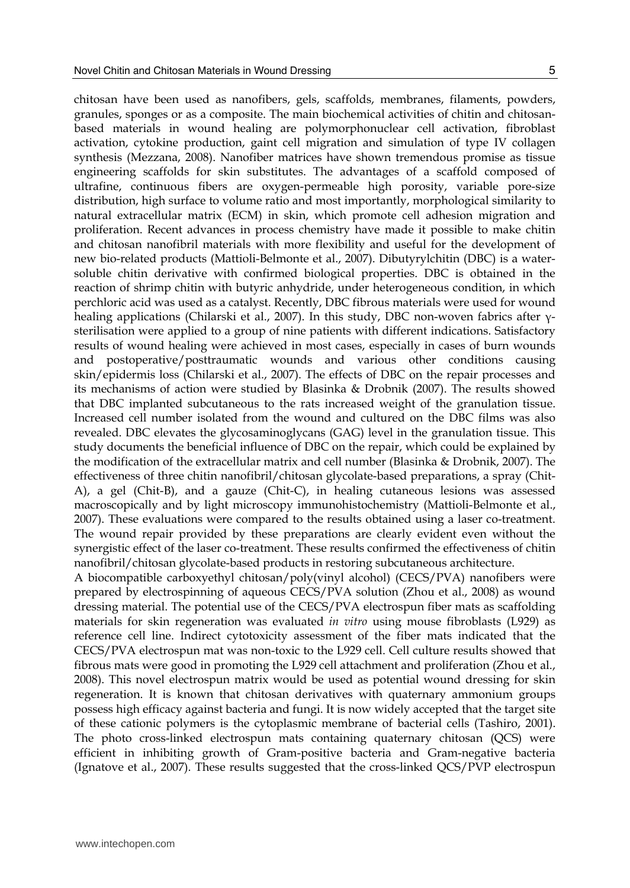chitosan have been used as nanofibers, gels, scaffolds, membranes, filaments, powders, granules, sponges or as a composite. The main biochemical activities of chitin and chitosanbased materials in wound healing are polymorphonuclear cell activation, fibroblast activation, cytokine production, gaint cell migration and simulation of type IV collagen synthesis (Mezzana, 2008). Nanofiber matrices have shown tremendous promise as tissue engineering scaffolds for skin substitutes. The advantages of a scaffold composed of ultrafine, continuous fibers are oxygen-permeable high porosity, variable pore-size distribution, high surface to volume ratio and most importantly, morphological similarity to natural extracellular matrix (ECM) in skin, which promote cell adhesion migration and proliferation. Recent advances in process chemistry have made it possible to make chitin and chitosan nanofibril materials with more flexibility and useful for the development of new bio-related products (Mattioli-Belmonte et al., 2007). Dibutyrylchitin (DBC) is a watersoluble chitin derivative with confirmed biological properties. DBC is obtained in the reaction of shrimp chitin with butyric anhydride, under heterogeneous condition, in which perchloric acid was used as a catalyst. Recently, DBC fibrous materials were used for wound healing applications (Chilarski et al., 2007). In this study, DBC non-woven fabrics after vsterilisation were applied to a group of nine patients with different indications. Satisfactory results of wound healing were achieved in most cases, especially in cases of burn wounds and postoperative/posttraumatic wounds and various other conditions causing skin/epidermis loss (Chilarski et al., 2007). The effects of DBC on the repair processes and its mechanisms of action were studied by Blasinka & Drobnik (2007). The results showed that DBC implanted subcutaneous to the rats increased weight of the granulation tissue. Increased cell number isolated from the wound and cultured on the DBC films was also revealed. DBC elevates the glycosaminoglycans (GAG) level in the granulation tissue. This study documents the beneficial influence of DBC on the repair, which could be explained by the modification of the extracellular matrix and cell number (Blasinka & Drobnik, 2007). The effectiveness of three chitin nanofibril/chitosan glycolate-based preparations, a spray (Chit-A), a gel (Chit-B), and a gauze (Chit-C), in healing cutaneous lesions was assessed macroscopically and by light microscopy immunohistochemistry (Mattioli-Belmonte et al., 2007). These evaluations were compared to the results obtained using a laser co-treatment. The wound repair provided by these preparations are clearly evident even without the synergistic effect of the laser co-treatment. These results confirmed the effectiveness of chitin nanofibril/chitosan glycolate-based products in restoring subcutaneous architecture. A biocompatible carboxyethyl chitosan/poly(vinyl alcohol) (CECS/PVA) nanofibers were

prepared by electrospinning of aqueous CECS/PVA solution (Zhou et al., 2008) as wound dressing material. The potential use of the CECS/PVA electrospun fiber mats as scaffolding materials for skin regeneration was evaluated *in vitro* using mouse fibroblasts (L929) as reference cell line. Indirect cytotoxicity assessment of the fiber mats indicated that the CECS/PVA electrospun mat was non-toxic to the L929 cell. Cell culture results showed that fibrous mats were good in promoting the L929 cell attachment and proliferation (Zhou et al., 2008). This novel electrospun matrix would be used as potential wound dressing for skin regeneration. It is known that chitosan derivatives with quaternary ammonium groups possess high efficacy against bacteria and fungi. It is now widely accepted that the target site of these cationic polymers is the cytoplasmic membrane of bacterial cells (Tashiro, 2001). The photo cross-linked electrospun mats containing quaternary chitosan (QCS) were efficient in inhibiting growth of Gram-positive bacteria and Gram-negative bacteria (Ignatove et al., 2007). These results suggested that the cross-linked QCS/PVP electrospun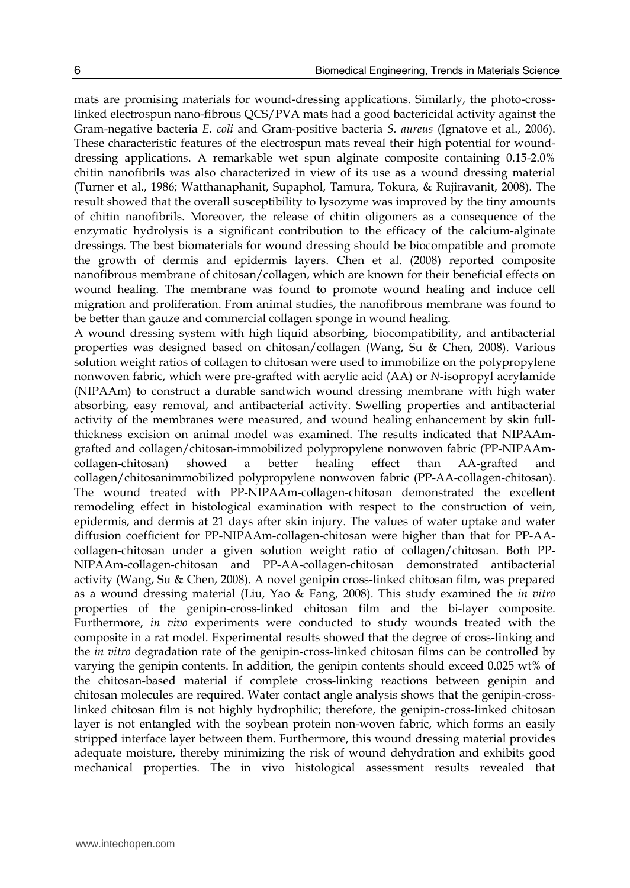mats are promising materials for wound-dressing applications. Similarly, the photo-crosslinked electrospun nano-fibrous QCS/PVA mats had a good bactericidal activity against the Gram-negative bacteria *E. coli* and Gram-positive bacteria *S. aureus* (Ignatove et al., 2006). These characteristic features of the electrospun mats reveal their high potential for wounddressing applications. A remarkable wet spun alginate composite containing 0.15-2.0% chitin nanofibrils was also characterized in view of its use as a wound dressing material (Turner et al., 1986; Watthanaphanit, Supaphol, Tamura, Tokura, & Rujiravanit, 2008). The result showed that the overall susceptibility to lysozyme was improved by the tiny amounts of chitin nanofibrils. Moreover, the release of chitin oligomers as a consequence of the enzymatic hydrolysis is a significant contribution to the efficacy of the calcium-alginate dressings. The best biomaterials for wound dressing should be biocompatible and promote the growth of dermis and epidermis layers. Chen et al. (2008) reported composite nanofibrous membrane of chitosan/collagen, which are known for their beneficial effects on wound healing. The membrane was found to promote wound healing and induce cell migration and proliferation. From animal studies, the nanofibrous membrane was found to be better than gauze and commercial collagen sponge in wound healing.

A wound dressing system with high liquid absorbing, biocompatibility, and antibacterial properties was designed based on chitosan/collagen (Wang, Su & Chen, 2008). Various solution weight ratios of collagen to chitosan were used to immobilize on the polypropylene nonwoven fabric, which were pre-grafted with acrylic acid (AA) or *N*-isopropyl acrylamide (NIPAAm) to construct a durable sandwich wound dressing membrane with high water absorbing, easy removal, and antibacterial activity. Swelling properties and antibacterial activity of the membranes were measured, and wound healing enhancement by skin fullthickness excision on animal model was examined. The results indicated that NIPAAmgrafted and collagen/chitosan-immobilized polypropylene nonwoven fabric (PP-NIPAAmcollagen-chitosan) showed a better healing effect than AA-grafted and collagen/chitosanimmobilized polypropylene nonwoven fabric (PP-AA-collagen-chitosan). The wound treated with PP-NIPAAm-collagen-chitosan demonstrated the excellent remodeling effect in histological examination with respect to the construction of vein, epidermis, and dermis at 21 days after skin injury. The values of water uptake and water diffusion coefficient for PP-NIPAAm-collagen-chitosan were higher than that for PP-AAcollagen-chitosan under a given solution weight ratio of collagen/chitosan. Both PP-NIPAAm-collagen-chitosan and PP-AA-collagen-chitosan demonstrated antibacterial activity (Wang, Su & Chen, 2008). A novel genipin cross-linked chitosan film, was prepared as a wound dressing material (Liu, Yao & Fang, 2008). This study examined the *in vitro* properties of the genipin-cross-linked chitosan film and the bi-layer composite. Furthermore, *in vivo* experiments were conducted to study wounds treated with the composite in a rat model. Experimental results showed that the degree of cross-linking and the *in vitro* degradation rate of the genipin-cross-linked chitosan films can be controlled by varying the genipin contents. In addition, the genipin contents should exceed 0.025 wt% of the chitosan-based material if complete cross-linking reactions between genipin and chitosan molecules are required. Water contact angle analysis shows that the genipin-crosslinked chitosan film is not highly hydrophilic; therefore, the genipin-cross-linked chitosan layer is not entangled with the soybean protein non-woven fabric, which forms an easily stripped interface layer between them. Furthermore, this wound dressing material provides adequate moisture, thereby minimizing the risk of wound dehydration and exhibits good mechanical properties. The in vivo histological assessment results revealed that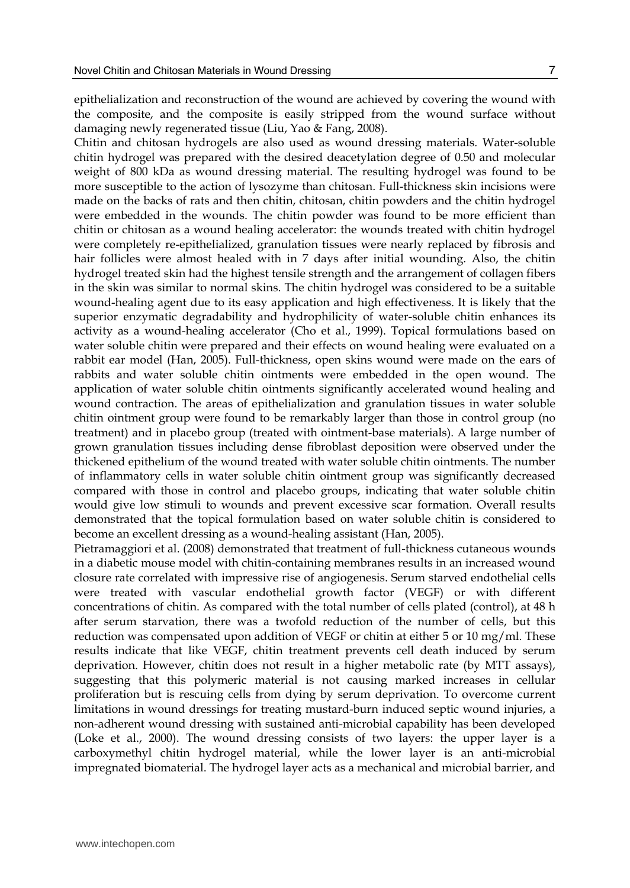epithelialization and reconstruction of the wound are achieved by covering the wound with the composite, and the composite is easily stripped from the wound surface without damaging newly regenerated tissue (Liu, Yao & Fang, 2008).

Chitin and chitosan hydrogels are also used as wound dressing materials. Water-soluble chitin hydrogel was prepared with the desired deacetylation degree of 0.50 and molecular weight of 800 kDa as wound dressing material. The resulting hydrogel was found to be more susceptible to the action of lysozyme than chitosan. Full-thickness skin incisions were made on the backs of rats and then chitin, chitosan, chitin powders and the chitin hydrogel were embedded in the wounds. The chitin powder was found to be more efficient than chitin or chitosan as a wound healing accelerator: the wounds treated with chitin hydrogel were completely re-epithelialized, granulation tissues were nearly replaced by fibrosis and hair follicles were almost healed with in 7 days after initial wounding. Also, the chitin hydrogel treated skin had the highest tensile strength and the arrangement of collagen fibers in the skin was similar to normal skins. The chitin hydrogel was considered to be a suitable wound-healing agent due to its easy application and high effectiveness. It is likely that the superior enzymatic degradability and hydrophilicity of water-soluble chitin enhances its activity as a wound-healing accelerator (Cho et al., 1999). Topical formulations based on water soluble chitin were prepared and their effects on wound healing were evaluated on a rabbit ear model (Han, 2005). Full-thickness, open skins wound were made on the ears of rabbits and water soluble chitin ointments were embedded in the open wound. The application of water soluble chitin ointments significantly accelerated wound healing and wound contraction. The areas of epithelialization and granulation tissues in water soluble chitin ointment group were found to be remarkably larger than those in control group (no treatment) and in placebo group (treated with ointment-base materials). A large number of grown granulation tissues including dense fibroblast deposition were observed under the thickened epithelium of the wound treated with water soluble chitin ointments. The number of inflammatory cells in water soluble chitin ointment group was significantly decreased compared with those in control and placebo groups, indicating that water soluble chitin would give low stimuli to wounds and prevent excessive scar formation. Overall results demonstrated that the topical formulation based on water soluble chitin is considered to become an excellent dressing as a wound-healing assistant (Han, 2005).

Pietramaggiori et al. (2008) demonstrated that treatment of full-thickness cutaneous wounds in a diabetic mouse model with chitin-containing membranes results in an increased wound closure rate correlated with impressive rise of angiogenesis. Serum starved endothelial cells were treated with vascular endothelial growth factor (VEGF) or with different concentrations of chitin. As compared with the total number of cells plated (control), at 48 h after serum starvation, there was a twofold reduction of the number of cells, but this reduction was compensated upon addition of VEGF or chitin at either 5 or 10 mg/ml. These results indicate that like VEGF, chitin treatment prevents cell death induced by serum deprivation. However, chitin does not result in a higher metabolic rate (by MTT assays), suggesting that this polymeric material is not causing marked increases in cellular proliferation but is rescuing cells from dying by serum deprivation. To overcome current limitations in wound dressings for treating mustard-burn induced septic wound injuries, a non-adherent wound dressing with sustained anti-microbial capability has been developed (Loke et al., 2000). The wound dressing consists of two layers: the upper layer is a carboxymethyl chitin hydrogel material, while the lower layer is an anti-microbial impregnated biomaterial. The hydrogel layer acts as a mechanical and microbial barrier, and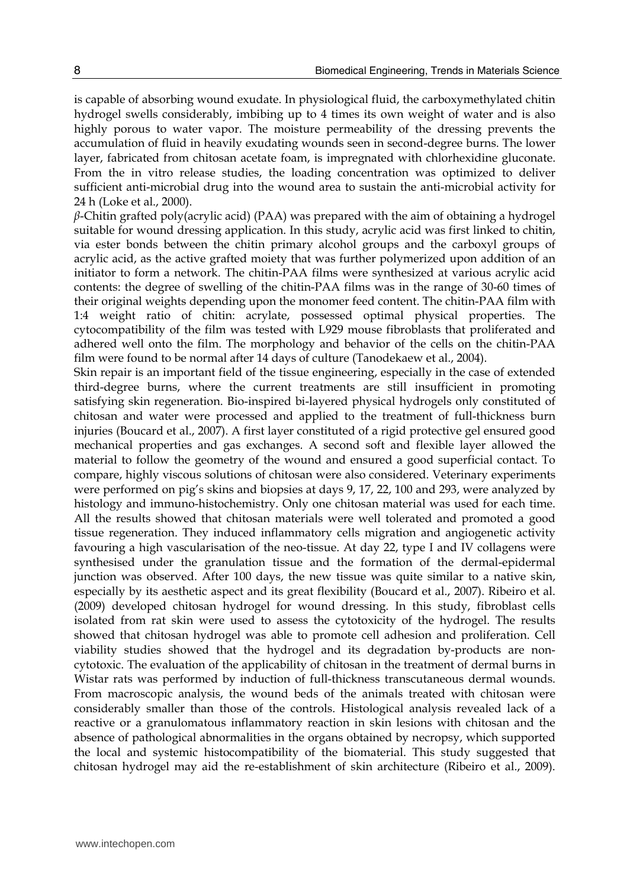is capable of absorbing wound exudate. In physiological fluid, the carboxymethylated chitin hydrogel swells considerably, imbibing up to 4 times its own weight of water and is also highly porous to water vapor. The moisture permeability of the dressing prevents the accumulation of fluid in heavily exudating wounds seen in second-degree burns. The lower layer, fabricated from chitosan acetate foam, is impregnated with chlorhexidine gluconate. From the in vitro release studies, the loading concentration was optimized to deliver sufficient anti-microbial drug into the wound area to sustain the anti-microbial activity for 24 h (Loke et al., 2000).

*┚*-Chitin grafted poly(acrylic acid) (PAA) was prepared with the aim of obtaining a hydrogel suitable for wound dressing application. In this study, acrylic acid was first linked to chitin, via ester bonds between the chitin primary alcohol groups and the carboxyl groups of acrylic acid, as the active grafted moiety that was further polymerized upon addition of an initiator to form a network. The chitin-PAA films were synthesized at various acrylic acid contents: the degree of swelling of the chitin-PAA films was in the range of 30-60 times of their original weights depending upon the monomer feed content. The chitin-PAA film with 1:4 weight ratio of chitin: acrylate, possessed optimal physical properties. The cytocompatibility of the film was tested with L929 mouse fibroblasts that proliferated and adhered well onto the film. The morphology and behavior of the cells on the chitin-PAA film were found to be normal after 14 days of culture (Tanodekaew et al., 2004).

Skin repair is an important field of the tissue engineering, especially in the case of extended third-degree burns, where the current treatments are still insufficient in promoting satisfying skin regeneration. Bio-inspired bi-layered physical hydrogels only constituted of chitosan and water were processed and applied to the treatment of full-thickness burn injuries (Boucard et al., 2007). A first layer constituted of a rigid protective gel ensured good mechanical properties and gas exchanges. A second soft and flexible layer allowed the material to follow the geometry of the wound and ensured a good superficial contact. To compare, highly viscous solutions of chitosan were also considered. Veterinary experiments were performed on pig's skins and biopsies at days 9, 17, 22, 100 and 293, were analyzed by histology and immuno-histochemistry. Only one chitosan material was used for each time. All the results showed that chitosan materials were well tolerated and promoted a good tissue regeneration. They induced inflammatory cells migration and angiogenetic activity favouring a high vascularisation of the neo-tissue. At day 22, type I and IV collagens were synthesised under the granulation tissue and the formation of the dermal-epidermal junction was observed. After 100 days, the new tissue was quite similar to a native skin, especially by its aesthetic aspect and its great flexibility (Boucard et al., 2007). Ribeiro et al. (2009) developed chitosan hydrogel for wound dressing. In this study, fibroblast cells isolated from rat skin were used to assess the cytotoxicity of the hydrogel. The results showed that chitosan hydrogel was able to promote cell adhesion and proliferation. Cell viability studies showed that the hydrogel and its degradation by-products are noncytotoxic. The evaluation of the applicability of chitosan in the treatment of dermal burns in Wistar rats was performed by induction of full-thickness transcutaneous dermal wounds. From macroscopic analysis, the wound beds of the animals treated with chitosan were considerably smaller than those of the controls. Histological analysis revealed lack of a reactive or a granulomatous inflammatory reaction in skin lesions with chitosan and the absence of pathological abnormalities in the organs obtained by necropsy, which supported the local and systemic histocompatibility of the biomaterial. This study suggested that chitosan hydrogel may aid the re-establishment of skin architecture (Ribeiro et al., 2009).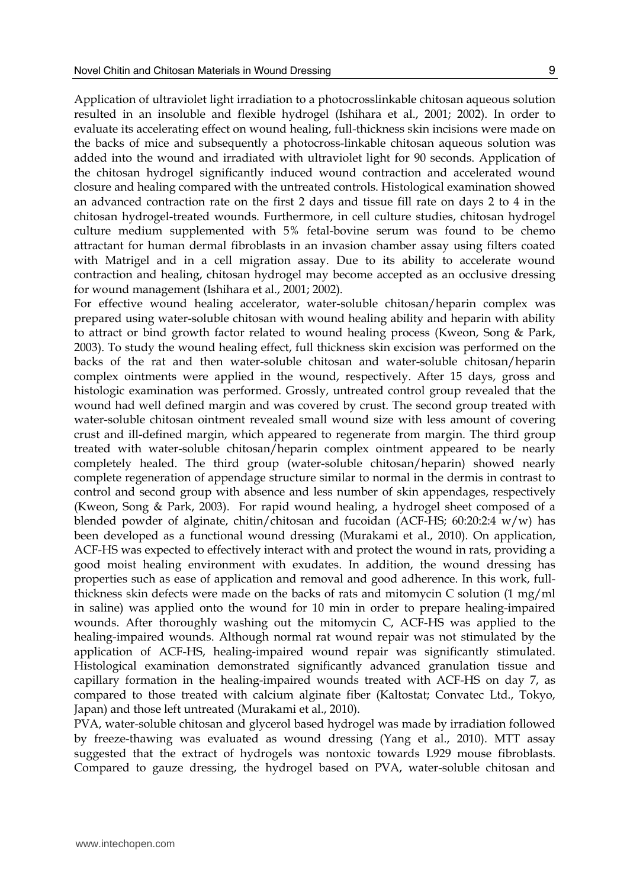Application of ultraviolet light irradiation to a photocrosslinkable chitosan aqueous solution resulted in an insoluble and flexible hydrogel (Ishihara et al., 2001; 2002). In order to evaluate its accelerating effect on wound healing, full-thickness skin incisions were made on the backs of mice and subsequently a photocross-linkable chitosan aqueous solution was added into the wound and irradiated with ultraviolet light for 90 seconds. Application of the chitosan hydrogel significantly induced wound contraction and accelerated wound closure and healing compared with the untreated controls. Histological examination showed an advanced contraction rate on the first 2 days and tissue fill rate on days 2 to 4 in the chitosan hydrogel-treated wounds. Furthermore, in cell culture studies, chitosan hydrogel culture medium supplemented with 5% fetal-bovine serum was found to be chemo attractant for human dermal fibroblasts in an invasion chamber assay using filters coated with Matrigel and in a cell migration assay. Due to its ability to accelerate wound contraction and healing, chitosan hydrogel may become accepted as an occlusive dressing for wound management (Ishihara et al., 2001; 2002).

For effective wound healing accelerator, water-soluble chitosan/heparin complex was prepared using water-soluble chitosan with wound healing ability and heparin with ability to attract or bind growth factor related to wound healing process (Kweon, Song & Park, 2003). To study the wound healing effect, full thickness skin excision was performed on the backs of the rat and then water-soluble chitosan and water-soluble chitosan/heparin complex ointments were applied in the wound, respectively. After 15 days, gross and histologic examination was performed. Grossly, untreated control group revealed that the wound had well defined margin and was covered by crust. The second group treated with water-soluble chitosan ointment revealed small wound size with less amount of covering crust and ill-defined margin, which appeared to regenerate from margin. The third group treated with water-soluble chitosan/heparin complex ointment appeared to be nearly completely healed. The third group (water-soluble chitosan/heparin) showed nearly complete regeneration of appendage structure similar to normal in the dermis in contrast to control and second group with absence and less number of skin appendages, respectively (Kweon, Song & Park, 2003). For rapid wound healing, a hydrogel sheet composed of a blended powder of alginate, chitin/chitosan and fucoidan (ACF-HS; 60:20:2:4 w/w) has been developed as a functional wound dressing (Murakami et al., 2010). On application, ACF-HS was expected to effectively interact with and protect the wound in rats, providing a good moist healing environment with exudates. In addition, the wound dressing has properties such as ease of application and removal and good adherence. In this work, fullthickness skin defects were made on the backs of rats and mitomycin C solution (1 mg/ml in saline) was applied onto the wound for 10 min in order to prepare healing-impaired wounds. After thoroughly washing out the mitomycin C, ACF-HS was applied to the healing-impaired wounds. Although normal rat wound repair was not stimulated by the application of ACF-HS, healing-impaired wound repair was significantly stimulated. Histological examination demonstrated significantly advanced granulation tissue and capillary formation in the healing-impaired wounds treated with ACF-HS on day 7, as compared to those treated with calcium alginate fiber (Kaltostat; Convatec Ltd., Tokyo, Japan) and those left untreated (Murakami et al., 2010).

PVA, water-soluble chitosan and glycerol based hydrogel was made by irradiation followed by freeze-thawing was evaluated as wound dressing (Yang et al., 2010). MTT assay suggested that the extract of hydrogels was nontoxic towards L929 mouse fibroblasts. Compared to gauze dressing, the hydrogel based on PVA, water-soluble chitosan and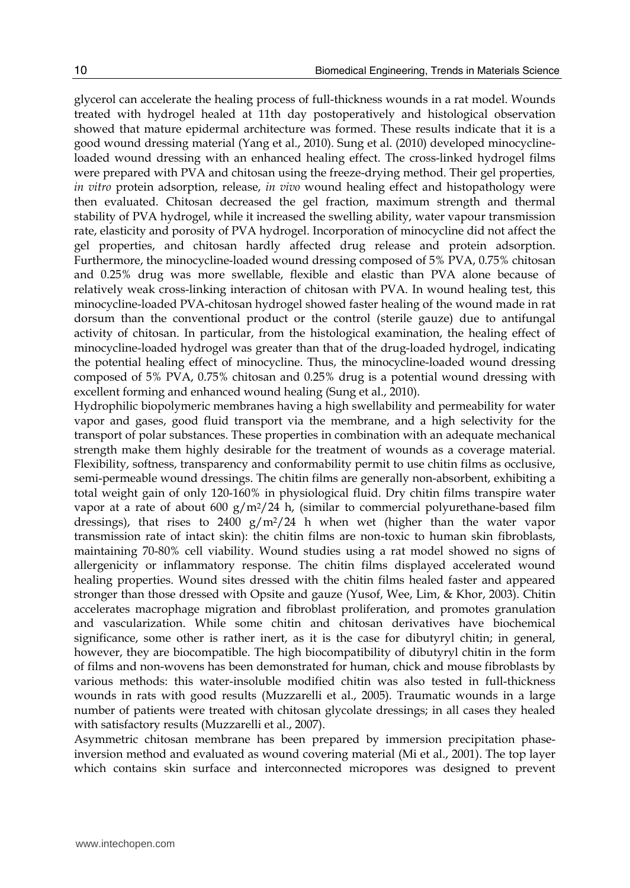glycerol can accelerate the healing process of full-thickness wounds in a rat model. Wounds treated with hydrogel healed at 11th day postoperatively and histological observation showed that mature epidermal architecture was formed. These results indicate that it is a good wound dressing material (Yang et al., 2010). Sung et al. (2010) developed minocyclineloaded wound dressing with an enhanced healing effect. The cross-linked hydrogel films were prepared with PVA and chitosan using the freeze-drying method. Their gel properties*, in vitro* protein adsorption, release, *in vivo* wound healing effect and histopathology were then evaluated. Chitosan decreased the gel fraction, maximum strength and thermal stability of PVA hydrogel, while it increased the swelling ability, water vapour transmission rate, elasticity and porosity of PVA hydrogel. Incorporation of minocycline did not affect the gel properties, and chitosan hardly affected drug release and protein adsorption. Furthermore, the minocycline-loaded wound dressing composed of 5% PVA, 0.75% chitosan and 0.25% drug was more swellable, flexible and elastic than PVA alone because of relatively weak cross-linking interaction of chitosan with PVA. In wound healing test, this minocycline-loaded PVA-chitosan hydrogel showed faster healing of the wound made in rat dorsum than the conventional product or the control (sterile gauze) due to antifungal activity of chitosan. In particular, from the histological examination, the healing effect of minocycline-loaded hydrogel was greater than that of the drug-loaded hydrogel, indicating the potential healing effect of minocycline. Thus, the minocycline-loaded wound dressing composed of 5% PVA, 0.75% chitosan and 0.25% drug is a potential wound dressing with excellent forming and enhanced wound healing (Sung et al., 2010).

Hydrophilic biopolymeric membranes having a high swellability and permeability for water vapor and gases, good fluid transport via the membrane, and a high selectivity for the transport of polar substances. These properties in combination with an adequate mechanical strength make them highly desirable for the treatment of wounds as a coverage material. Flexibility, softness, transparency and conformability permit to use chitin films as occlusive, semi-permeable wound dressings. The chitin films are generally non-absorbent, exhibiting a total weight gain of only 120-160% in physiological fluid. Dry chitin films transpire water vapor at a rate of about 600  $g/m^2/24$  h, (similar to commercial polyurethane-based film dressings), that rises to 2400  $g/m^2/24$  h when wet (higher than the water vapor transmission rate of intact skin): the chitin films are non-toxic to human skin fibroblasts, maintaining 70-80% cell viability. Wound studies using a rat model showed no signs of allergenicity or inflammatory response. The chitin films displayed accelerated wound healing properties. Wound sites dressed with the chitin films healed faster and appeared stronger than those dressed with Opsite and gauze (Yusof, Wee, Lim, & Khor, 2003). Chitin accelerates macrophage migration and fibroblast proliferation, and promotes granulation and vascularization. While some chitin and chitosan derivatives have biochemical significance, some other is rather inert, as it is the case for dibutyryl chitin; in general, however, they are biocompatible. The high biocompatibility of dibutyryl chitin in the form of films and non-wovens has been demonstrated for human, chick and mouse fibroblasts by various methods: this water-insoluble modified chitin was also tested in full-thickness wounds in rats with good results (Muzzarelli et al., 2005). Traumatic wounds in a large number of patients were treated with chitosan glycolate dressings; in all cases they healed with satisfactory results (Muzzarelli et al., 2007).

Asymmetric chitosan membrane has been prepared by immersion precipitation phaseinversion method and evaluated as wound covering material (Mi et al., 2001). The top layer which contains skin surface and interconnected micropores was designed to prevent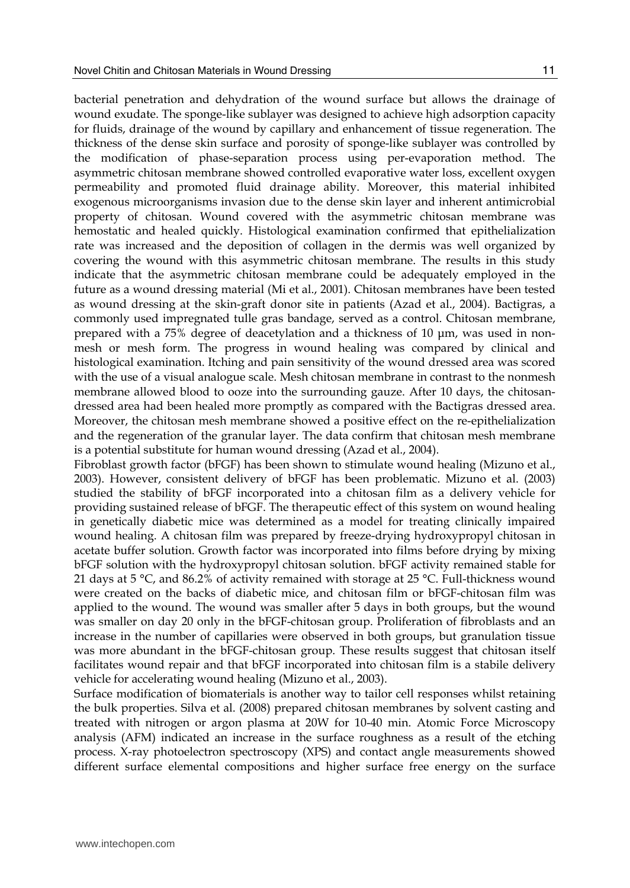bacterial penetration and dehydration of the wound surface but allows the drainage of wound exudate. The sponge-like sublayer was designed to achieve high adsorption capacity for fluids, drainage of the wound by capillary and enhancement of tissue regeneration. The thickness of the dense skin surface and porosity of sponge-like sublayer was controlled by the modification of phase-separation process using per-evaporation method. The asymmetric chitosan membrane showed controlled evaporative water loss, excellent oxygen permeability and promoted fluid drainage ability. Moreover, this material inhibited exogenous microorganisms invasion due to the dense skin layer and inherent antimicrobial property of chitosan. Wound covered with the asymmetric chitosan membrane was hemostatic and healed quickly. Histological examination confirmed that epithelialization rate was increased and the deposition of collagen in the dermis was well organized by covering the wound with this asymmetric chitosan membrane. The results in this study indicate that the asymmetric chitosan membrane could be adequately employed in the future as a wound dressing material (Mi et al., 2001). Chitosan membranes have been tested as wound dressing at the skin-graft donor site in patients (Azad et al., 2004). Bactigras, a commonly used impregnated tulle gras bandage, served as a control. Chitosan membrane, prepared with a 75% degree of deacetylation and a thickness of 10 μm, was used in nonmesh or mesh form. The progress in wound healing was compared by clinical and histological examination. Itching and pain sensitivity of the wound dressed area was scored with the use of a visual analogue scale. Mesh chitosan membrane in contrast to the nonmesh membrane allowed blood to ooze into the surrounding gauze. After 10 days, the chitosandressed area had been healed more promptly as compared with the Bactigras dressed area. Moreover, the chitosan mesh membrane showed a positive effect on the re-epithelialization and the regeneration of the granular layer. The data confirm that chitosan mesh membrane is a potential substitute for human wound dressing (Azad et al., 2004).

Fibroblast growth factor (bFGF) has been shown to stimulate wound healing (Mizuno et al., 2003). However, consistent delivery of bFGF has been problematic. Mizuno et al. (2003) studied the stability of bFGF incorporated into a chitosan film as a delivery vehicle for providing sustained release of bFGF. The therapeutic effect of this system on wound healing in genetically diabetic mice was determined as a model for treating clinically impaired wound healing. A chitosan film was prepared by freeze-drying hydroxypropyl chitosan in acetate buffer solution. Growth factor was incorporated into films before drying by mixing bFGF solution with the hydroxypropyl chitosan solution. bFGF activity remained stable for 21 days at 5 °C, and 86.2% of activity remained with storage at 25 °C. Full-thickness wound were created on the backs of diabetic mice, and chitosan film or bFGF-chitosan film was applied to the wound. The wound was smaller after 5 days in both groups, but the wound was smaller on day 20 only in the bFGF-chitosan group. Proliferation of fibroblasts and an increase in the number of capillaries were observed in both groups, but granulation tissue was more abundant in the bFGF-chitosan group. These results suggest that chitosan itself facilitates wound repair and that bFGF incorporated into chitosan film is a stabile delivery vehicle for accelerating wound healing (Mizuno et al., 2003).

Surface modification of biomaterials is another way to tailor cell responses whilst retaining the bulk properties. Silva et al. (2008) prepared chitosan membranes by solvent casting and treated with nitrogen or argon plasma at 20W for 10-40 min. Atomic Force Microscopy analysis (AFM) indicated an increase in the surface roughness as a result of the etching process. X-ray photoelectron spectroscopy (XPS) and contact angle measurements showed different surface elemental compositions and higher surface free energy on the surface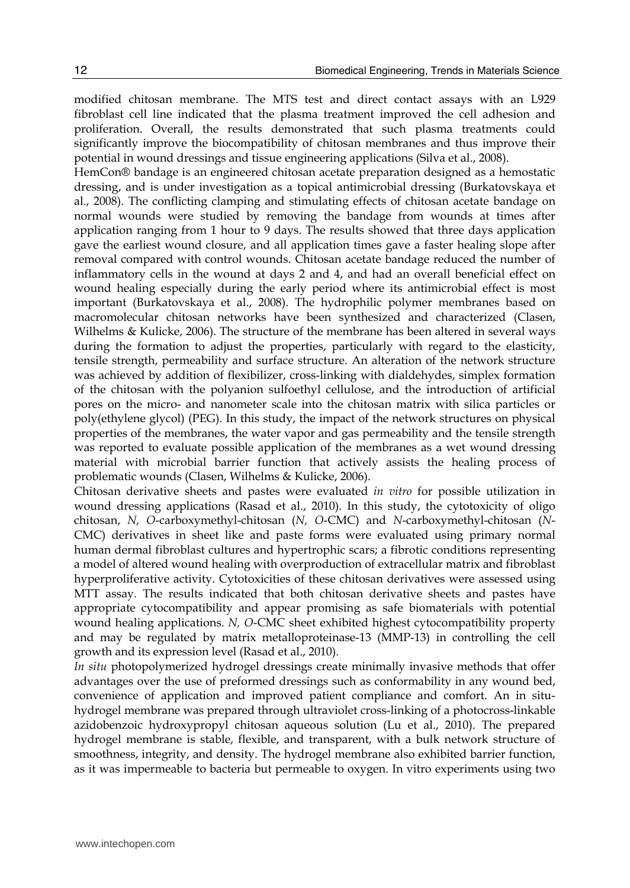modified chitosan membrane. The MTS test and direct contact assays with an L929 fibroblast cell line indicated that the plasma treatment improved the cell adhesion and proliferation. Overall, the results demonstrated that such plasma treatments could significantly improve the biocompatibility of chitosan membranes and thus improve their potential in wound dressings and tissue engineering applications (Silva et al., 2008).

HemCon® bandage is an engineered chitosan acetate preparation designed as a hemostatic dressing, and is under investigation as a topical antimicrobial dressing (Burkatovskaya et al., 2008). The conflicting clamping and stimulating effects of chitosan acetate bandage on normal wounds were studied by removing the bandage from wounds at times after application ranging from 1 hour to 9 days. The results showed that three days application gave the earliest wound closure, and all application times gave a faster healing slope after removal compared with control wounds. Chitosan acetate bandage reduced the number of inflammatory cells in the wound at days 2 and 4, and had an overall beneficial effect on wound healing especially during the early period where its antimicrobial effect is most important (Burkatovskaya et al., 2008). The hydrophilic polymer membranes based on macromolecular chitosan networks have been synthesized and characterized (Clasen, Wilhelms & Kulicke, 2006). The structure of the membrane has been altered in several ways during the formation to adjust the properties, particularly with regard to the elasticity, tensile strength, permeability and surface structure. An alteration of the network structure was achieved by addition of flexibilizer, cross-linking with dialdehydes, simplex formation of the chitosan with the polyanion sulfoethyl cellulose, and the introduction of artificial pores on the micro- and nanometer scale into the chitosan matrix with silica particles or poly(ethylene glycol) (PEG). In this study, the impact of the network structures on physical properties of the membranes, the water vapor and gas permeability and the tensile strength was reported to evaluate possible application of the membranes as a wet wound dressing material with microbial barrier function that actively assists the healing process of problematic wounds (Clasen, Wilhelms & Kulicke, 2006).

Chitosan derivative sheets and pastes were evaluated *in vitro* for possible utilization in wound dressing applications (Rasad et al., 2010). In this study, the cytotoxicity of oligo chitosan, *N, O*-carboxymethyl-chitosan (*N, O*-CMC) and *N*-carboxymethyl-chitosan (*N*-CMC) derivatives in sheet like and paste forms were evaluated using primary normal human dermal fibroblast cultures and hypertrophic scars; a fibrotic conditions representing a model of altered wound healing with overproduction of extracellular matrix and fibroblast hyperproliferative activity. Cytotoxicities of these chitosan derivatives were assessed using MTT assay. The results indicated that both chitosan derivative sheets and pastes have appropriate cytocompatibility and appear promising as safe biomaterials with potential wound healing applications. *N, O*-CMC sheet exhibited highest cytocompatibility property and may be regulated by matrix metalloproteinase-13 (MMP-13) in controlling the cell growth and its expression level (Rasad et al., 2010).

*In situ* photopolymerized hydrogel dressings create minimally invasive methods that offer advantages over the use of preformed dressings such as conformability in any wound bed, convenience of application and improved patient compliance and comfort. An in situhydrogel membrane was prepared through ultraviolet cross-linking of a photocross-linkable azidobenzoic hydroxypropyl chitosan aqueous solution (Lu et al., 2010). The prepared hydrogel membrane is stable, flexible, and transparent, with a bulk network structure of smoothness, integrity, and density. The hydrogel membrane also exhibited barrier function, as it was impermeable to bacteria but permeable to oxygen. In vitro experiments using two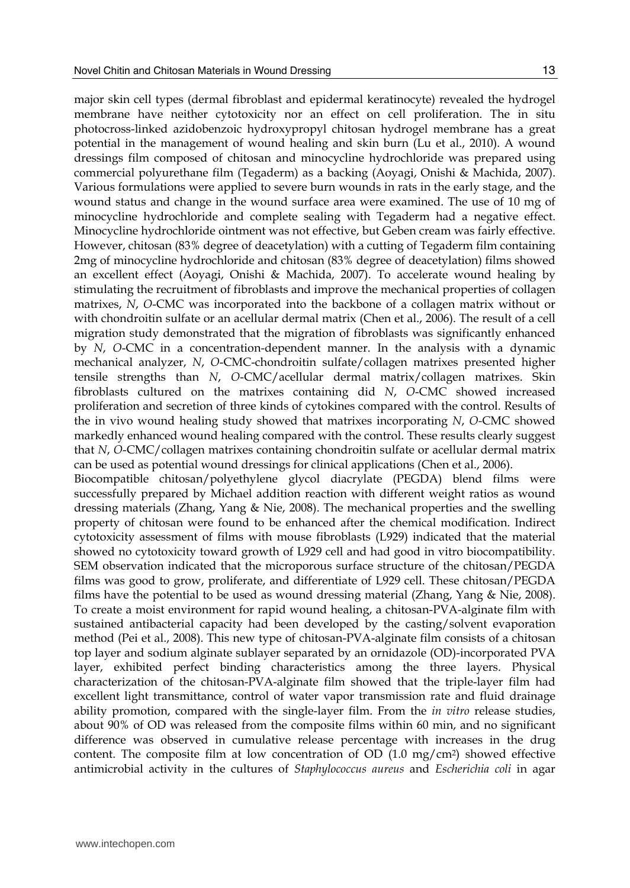major skin cell types (dermal fibroblast and epidermal keratinocyte) revealed the hydrogel membrane have neither cytotoxicity nor an effect on cell proliferation. The in situ photocross-linked azidobenzoic hydroxypropyl chitosan hydrogel membrane has a great potential in the management of wound healing and skin burn (Lu et al., 2010). A wound dressings film composed of chitosan and minocycline hydrochloride was prepared using commercial polyurethane film (Tegaderm) as a backing (Aoyagi, Onishi & Machida, 2007). Various formulations were applied to severe burn wounds in rats in the early stage, and the wound status and change in the wound surface area were examined. The use of 10 mg of minocycline hydrochloride and complete sealing with Tegaderm had a negative effect. Minocycline hydrochloride ointment was not effective, but Geben cream was fairly effective. However, chitosan (83% degree of deacetylation) with a cutting of Tegaderm film containing 2mg of minocycline hydrochloride and chitosan (83% degree of deacetylation) films showed an excellent effect (Aoyagi, Onishi & Machida, 2007). To accelerate wound healing by stimulating the recruitment of fibroblasts and improve the mechanical properties of collagen matrixes, *N*, *O*-CMC was incorporated into the backbone of a collagen matrix without or with chondroitin sulfate or an acellular dermal matrix (Chen et al., 2006). The result of a cell migration study demonstrated that the migration of fibroblasts was significantly enhanced by *N*, *O*-CMC in a concentration-dependent manner. In the analysis with a dynamic mechanical analyzer, *N*, *O*-CMC-chondroitin sulfate/collagen matrixes presented higher tensile strengths than *N*, *O*-CMC/acellular dermal matrix/collagen matrixes. Skin fibroblasts cultured on the matrixes containing did *N*, *O*-CMC showed increased proliferation and secretion of three kinds of cytokines compared with the control. Results of the in vivo wound healing study showed that matrixes incorporating *N*, *O-*CMC showed markedly enhanced wound healing compared with the control. These results clearly suggest that *N*, *O*-CMC/collagen matrixes containing chondroitin sulfate or acellular dermal matrix can be used as potential wound dressings for clinical applications (Chen et al., 2006). Biocompatible chitosan/polyethylene glycol diacrylate (PEGDA) blend films were

successfully prepared by Michael addition reaction with different weight ratios as wound dressing materials (Zhang, Yang & Nie, 2008). The mechanical properties and the swelling property of chitosan were found to be enhanced after the chemical modification. Indirect cytotoxicity assessment of films with mouse fibroblasts (L929) indicated that the material showed no cytotoxicity toward growth of L929 cell and had good in vitro biocompatibility. SEM observation indicated that the microporous surface structure of the chitosan/PEGDA films was good to grow, proliferate, and differentiate of L929 cell. These chitosan/PEGDA films have the potential to be used as wound dressing material (Zhang, Yang & Nie, 2008). To create a moist environment for rapid wound healing, a chitosan-PVA-alginate film with sustained antibacterial capacity had been developed by the casting/solvent evaporation method (Pei et al., 2008). This new type of chitosan-PVA-alginate film consists of a chitosan top layer and sodium alginate sublayer separated by an ornidazole (OD)-incorporated PVA layer, exhibited perfect binding characteristics among the three layers. Physical characterization of the chitosan-PVA-alginate film showed that the triple-layer film had excellent light transmittance, control of water vapor transmission rate and fluid drainage ability promotion, compared with the single-layer film. From the *in vitro* release studies, about 90% of OD was released from the composite films within 60 min, and no significant difference was observed in cumulative release percentage with increases in the drug content. The composite film at low concentration of OD  $(1.0 \text{ mg/cm}^2)$  showed effective antimicrobial activity in the cultures of *Staphylococcus aureus* and *Escherichia coli* in agar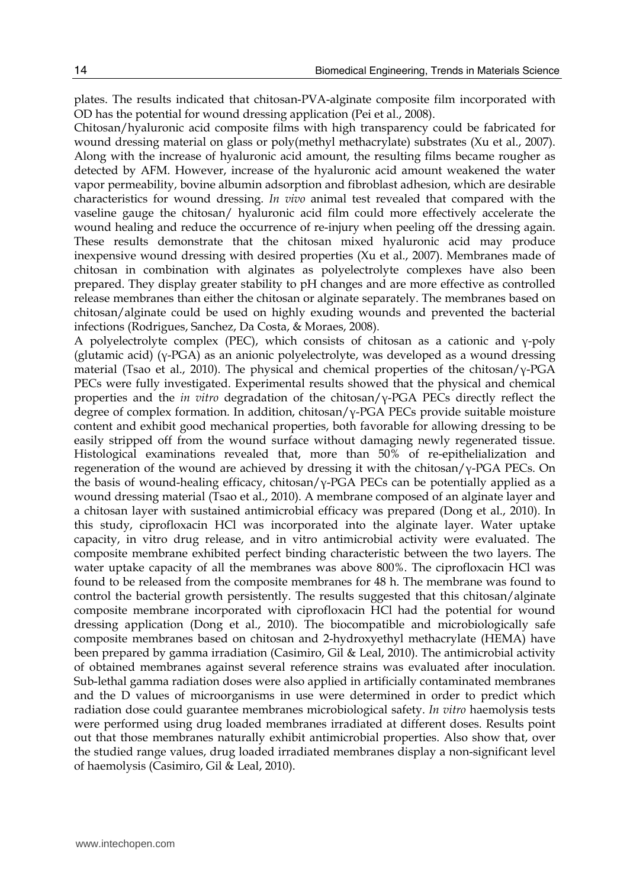plates. The results indicated that chitosan-PVA-alginate composite film incorporated with OD has the potential for wound dressing application (Pei et al., 2008).

Chitosan/hyaluronic acid composite films with high transparency could be fabricated for wound dressing material on glass or poly(methyl methacrylate) substrates (Xu et al., 2007). Along with the increase of hyaluronic acid amount, the resulting films became rougher as detected by AFM. However, increase of the hyaluronic acid amount weakened the water vapor permeability, bovine albumin adsorption and fibroblast adhesion, which are desirable characteristics for wound dressing. *In vivo* animal test revealed that compared with the vaseline gauge the chitosan/ hyaluronic acid film could more effectively accelerate the wound healing and reduce the occurrence of re-injury when peeling off the dressing again. These results demonstrate that the chitosan mixed hyaluronic acid may produce inexpensive wound dressing with desired properties (Xu et al., 2007). Membranes made of chitosan in combination with alginates as polyelectrolyte complexes have also been prepared. They display greater stability to pH changes and are more effective as controlled release membranes than either the chitosan or alginate separately. The membranes based on chitosan/alginate could be used on highly exuding wounds and prevented the bacterial infections (Rodrigues, Sanchez, Da Costa, & Moraes, 2008).

A polyelectrolyte complex (PEC), which consists of chitosan as a cationic and  $\gamma$ -poly (glutamic acid) ( $\gamma$ -PGA) as an anionic polyelectrolyte, was developed as a wound dressing material (Tsao et al., 2010). The physical and chemical properties of the chitosan/ $\gamma$ -PGA PECs were fully investigated. Experimental results showed that the physical and chemical properties and the *in vitro* degradation of the chitosan/ $\gamma$ -PGA PECs directly reflect the degree of complex formation. In addition, chitosan/γ-PGA PECs provide suitable moisture content and exhibit good mechanical properties, both favorable for allowing dressing to be easily stripped off from the wound surface without damaging newly regenerated tissue. Histological examinations revealed that, more than 50% of re-epithelialization and regeneration of the wound are achieved by dressing it with the chitosan/ $\gamma$ -PGA PECs. On the basis of wound-healing efficacy, chitosan/ $\gamma$ -PGA PECs can be potentially applied as a wound dressing material (Tsao et al., 2010). A membrane composed of an alginate layer and a chitosan layer with sustained antimicrobial efficacy was prepared (Dong et al., 2010). In this study, ciprofloxacin HCl was incorporated into the alginate layer. Water uptake capacity, in vitro drug release, and in vitro antimicrobial activity were evaluated. The composite membrane exhibited perfect binding characteristic between the two layers. The water uptake capacity of all the membranes was above 800%. The ciprofloxacin HCl was found to be released from the composite membranes for 48 h. The membrane was found to control the bacterial growth persistently. The results suggested that this chitosan/alginate composite membrane incorporated with ciprofloxacin HCl had the potential for wound dressing application (Dong et al., 2010). The biocompatible and microbiologically safe composite membranes based on chitosan and 2-hydroxyethyl methacrylate (HEMA) have been prepared by gamma irradiation (Casimiro, Gil & Leal, 2010). The antimicrobial activity of obtained membranes against several reference strains was evaluated after inoculation. Sub-lethal gamma radiation doses were also applied in artificially contaminated membranes and the D values of microorganisms in use were determined in order to predict which radiation dose could guarantee membranes microbiological safety. *In vitro* haemolysis tests were performed using drug loaded membranes irradiated at different doses. Results point out that those membranes naturally exhibit antimicrobial properties. Also show that, over the studied range values, drug loaded irradiated membranes display a non-significant level of haemolysis (Casimiro, Gil & Leal, 2010).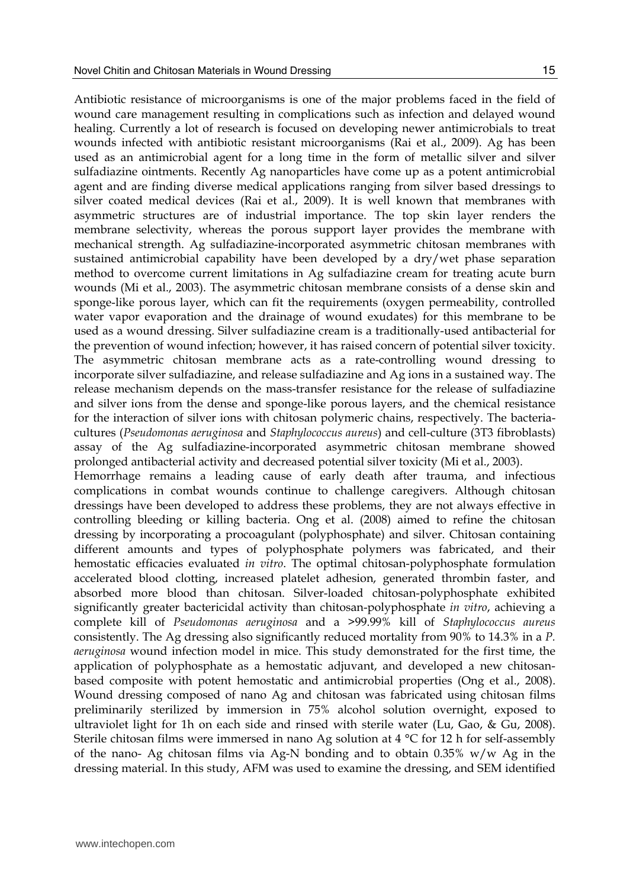Antibiotic resistance of microorganisms is one of the major problems faced in the field of wound care management resulting in complications such as infection and delayed wound healing. Currently a lot of research is focused on developing newer antimicrobials to treat wounds infected with antibiotic resistant microorganisms (Rai et al., 2009). Ag has been used as an antimicrobial agent for a long time in the form of metallic silver and silver sulfadiazine ointments. Recently Ag nanoparticles have come up as a potent antimicrobial agent and are finding diverse medical applications ranging from silver based dressings to silver coated medical devices (Rai et al., 2009). It is well known that membranes with asymmetric structures are of industrial importance. The top skin layer renders the membrane selectivity, whereas the porous support layer provides the membrane with mechanical strength. Ag sulfadiazine-incorporated asymmetric chitosan membranes with sustained antimicrobial capability have been developed by a dry/wet phase separation method to overcome current limitations in Ag sulfadiazine cream for treating acute burn wounds (Mi et al., 2003). The asymmetric chitosan membrane consists of a dense skin and sponge-like porous layer, which can fit the requirements (oxygen permeability, controlled water vapor evaporation and the drainage of wound exudates) for this membrane to be used as a wound dressing. Silver sulfadiazine cream is a traditionally-used antibacterial for the prevention of wound infection; however, it has raised concern of potential silver toxicity. The asymmetric chitosan membrane acts as a rate-controlling wound dressing to incorporate silver sulfadiazine, and release sulfadiazine and Ag ions in a sustained way. The release mechanism depends on the mass-transfer resistance for the release of sulfadiazine and silver ions from the dense and sponge-like porous layers, and the chemical resistance for the interaction of silver ions with chitosan polymeric chains, respectively. The bacteriacultures (*Pseudomonas aeruginosa* and *Staphylococcus aureus*) and cell-culture (3T3 fibroblasts) assay of the Ag sulfadiazine-incorporated asymmetric chitosan membrane showed prolonged antibacterial activity and decreased potential silver toxicity (Mi et al., 2003). Hemorrhage remains a leading cause of early death after trauma, and infectious complications in combat wounds continue to challenge caregivers. Although chitosan dressings have been developed to address these problems, they are not always effective in controlling bleeding or killing bacteria. Ong et al. (2008) aimed to refine the chitosan dressing by incorporating a procoagulant (polyphosphate) and silver. Chitosan containing different amounts and types of polyphosphate polymers was fabricated, and their hemostatic efficacies evaluated *in vitro*. The optimal chitosan-polyphosphate formulation accelerated blood clotting, increased platelet adhesion, generated thrombin faster, and absorbed more blood than chitosan. Silver-loaded chitosan-polyphosphate exhibited significantly greater bactericidal activity than chitosan-polyphosphate *in vitro*, achieving a complete kill of *Pseudomonas aeruginosa* and a >99.99% kill of *Staphylococcus aureus* consistently. The Ag dressing also significantly reduced mortality from 90% to 14.3% in a *P. aeruginosa* wound infection model in mice. This study demonstrated for the first time, the application of polyphosphate as a hemostatic adjuvant, and developed a new chitosanbased composite with potent hemostatic and antimicrobial properties (Ong et al., 2008). Wound dressing composed of nano Ag and chitosan was fabricated using chitosan films preliminarily sterilized by immersion in 75% alcohol solution overnight, exposed to ultraviolet light for 1h on each side and rinsed with sterile water (Lu, Gao, & Gu, 2008). Sterile chitosan films were immersed in nano Ag solution at 4 °C for 12 h for self-assembly of the nano- Ag chitosan films via Ag-N bonding and to obtain  $0.35\%$  w/w Ag in the dressing material. In this study, AFM was used to examine the dressing, and SEM identified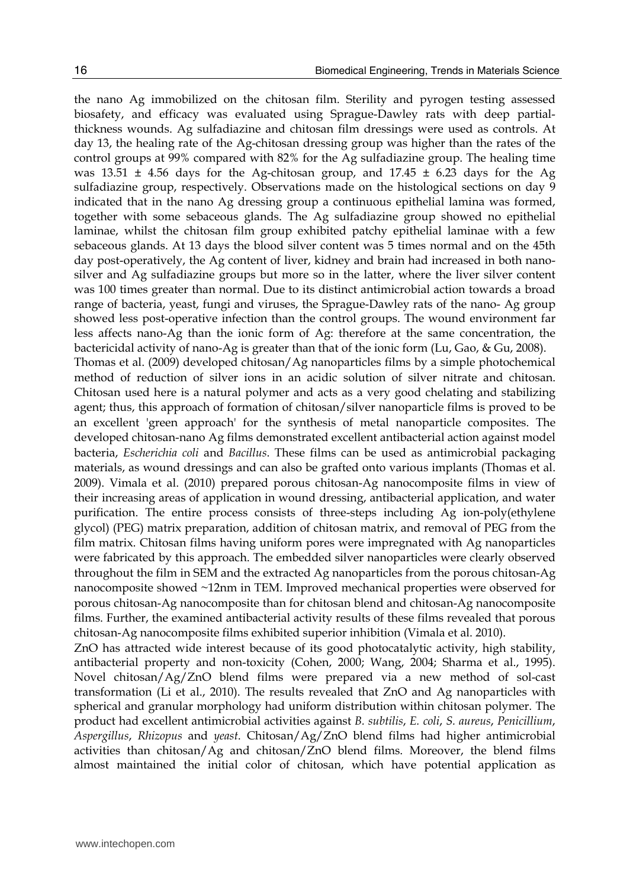the nano Ag immobilized on the chitosan film. Sterility and pyrogen testing assessed biosafety, and efficacy was evaluated using Sprague-Dawley rats with deep partialthickness wounds. Ag sulfadiazine and chitosan film dressings were used as controls. At day 13, the healing rate of the Ag-chitosan dressing group was higher than the rates of the control groups at 99% compared with 82% for the Ag sulfadiazine group. The healing time was 13.51  $\pm$  4.56 days for the Ag-chitosan group, and 17.45  $\pm$  6.23 days for the Ag sulfadiazine group, respectively. Observations made on the histological sections on day 9 indicated that in the nano Ag dressing group a continuous epithelial lamina was formed, together with some sebaceous glands. The Ag sulfadiazine group showed no epithelial laminae, whilst the chitosan film group exhibited patchy epithelial laminae with a few sebaceous glands. At 13 days the blood silver content was 5 times normal and on the 45th day post-operatively, the Ag content of liver, kidney and brain had increased in both nanosilver and Ag sulfadiazine groups but more so in the latter, where the liver silver content was 100 times greater than normal. Due to its distinct antimicrobial action towards a broad range of bacteria, yeast, fungi and viruses, the Sprague-Dawley rats of the nano- Ag group showed less post-operative infection than the control groups. The wound environment far less affects nano-Ag than the ionic form of Ag: therefore at the same concentration, the bactericidal activity of nano-Ag is greater than that of the ionic form (Lu, Gao, & Gu, 2008). Thomas et al. (2009) developed chitosan/Ag nanoparticles films by a simple photochemical method of reduction of silver ions in an acidic solution of silver nitrate and chitosan. Chitosan used here is a natural polymer and acts as a very good chelating and stabilizing agent; thus, this approach of formation of chitosan/silver nanoparticle films is proved to be an excellent 'green approach' for the synthesis of metal nanoparticle composites. The developed chitosan-nano Ag films demonstrated excellent antibacterial action against model bacteria, *Escherichia coli* and *Bacillus*. These films can be used as antimicrobial packaging materials, as wound dressings and can also be grafted onto various implants (Thomas et al. 2009). Vimala et al. (2010) prepared porous chitosan-Ag nanocomposite films in view of their increasing areas of application in wound dressing, antibacterial application, and water purification. The entire process consists of three-steps including Ag ion-poly(ethylene glycol) (PEG) matrix preparation, addition of chitosan matrix, and removal of PEG from the film matrix. Chitosan films having uniform pores were impregnated with Ag nanoparticles were fabricated by this approach. The embedded silver nanoparticles were clearly observed throughout the film in SEM and the extracted Ag nanoparticles from the porous chitosan-Ag nanocomposite showed ~12nm in TEM. Improved mechanical properties were observed for porous chitosan-Ag nanocomposite than for chitosan blend and chitosan-Ag nanocomposite films. Further, the examined antibacterial activity results of these films revealed that porous chitosan-Ag nanocomposite films exhibited superior inhibition (Vimala et al. 2010).

ZnO has attracted wide interest because of its good photocatalytic activity, high stability, antibacterial property and non-toxicity (Cohen, 2000; Wang, 2004; Sharma et al., 1995). Novel chitosan/Ag/ZnO blend films were prepared via a new method of sol-cast transformation (Li et al., 2010). The results revealed that ZnO and Ag nanoparticles with spherical and granular morphology had uniform distribution within chitosan polymer. The product had excellent antimicrobial activities against *B. subtilis*, *E. coli*, *S. aureus*, *Penicillium*, *Aspergillus*, *Rhizopus* and *yeast*. Chitosan/Ag/ZnO blend films had higher antimicrobial activities than chitosan/Ag and chitosan/ZnO blend films. Moreover, the blend films almost maintained the initial color of chitosan, which have potential application as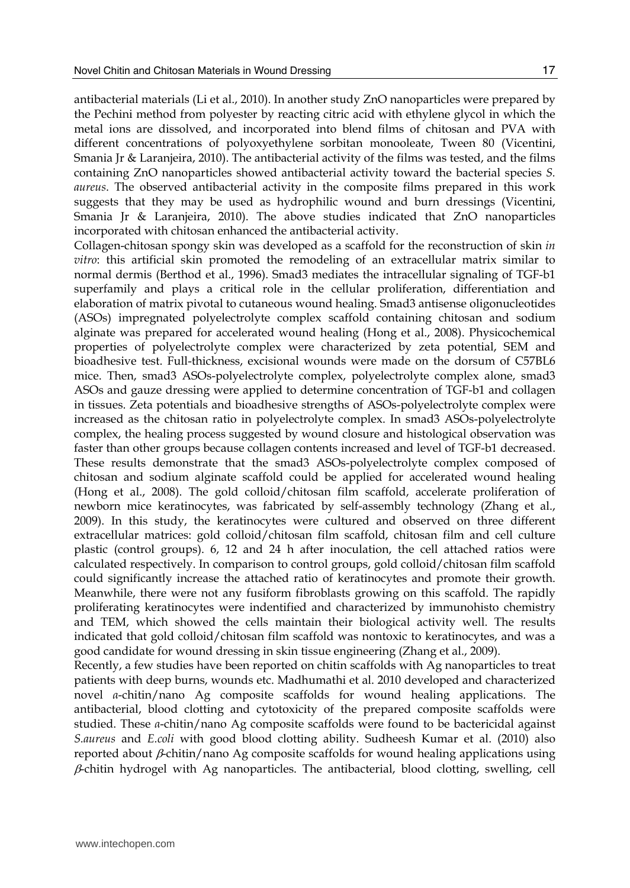antibacterial materials (Li et al., 2010). In another study ZnO nanoparticles were prepared by the Pechini method from polyester by reacting citric acid with ethylene glycol in which the metal ions are dissolved, and incorporated into blend films of chitosan and PVA with different concentrations of polyoxyethylene sorbitan monooleate, Tween 80 (Vicentini, Smania Jr & Laranjeira, 2010). The antibacterial activity of the films was tested, and the films containing ZnO nanoparticles showed antibacterial activity toward the bacterial species *S. aureus*. The observed antibacterial activity in the composite films prepared in this work suggests that they may be used as hydrophilic wound and burn dressings (Vicentini, Smania Jr & Laranjeira, 2010). The above studies indicated that ZnO nanoparticles incorporated with chitosan enhanced the antibacterial activity.

Collagen-chitosan spongy skin was developed as a scaffold for the reconstruction of skin *in vitro*: this artificial skin promoted the remodeling of an extracellular matrix similar to normal dermis (Berthod et al., 1996). Smad3 mediates the intracellular signaling of TGF-b1 superfamily and plays a critical role in the cellular proliferation, differentiation and elaboration of matrix pivotal to cutaneous wound healing. Smad3 antisense oligonucleotides (ASOs) impregnated polyelectrolyte complex scaffold containing chitosan and sodium alginate was prepared for accelerated wound healing (Hong et al., 2008). Physicochemical properties of polyelectrolyte complex were characterized by zeta potential, SEM and bioadhesive test. Full-thickness, excisional wounds were made on the dorsum of C57BL6 mice. Then, smad3 ASOs-polyelectrolyte complex, polyelectrolyte complex alone, smad3 ASOs and gauze dressing were applied to determine concentration of TGF-b1 and collagen in tissues. Zeta potentials and bioadhesive strengths of ASOs-polyelectrolyte complex were increased as the chitosan ratio in polyelectrolyte complex. In smad3 ASOs-polyelectrolyte complex, the healing process suggested by wound closure and histological observation was faster than other groups because collagen contents increased and level of TGF-b1 decreased. These results demonstrate that the smad3 ASOs-polyelectrolyte complex composed of chitosan and sodium alginate scaffold could be applied for accelerated wound healing (Hong et al., 2008). The gold colloid/chitosan film scaffold, accelerate proliferation of newborn mice keratinocytes, was fabricated by self-assembly technology (Zhang et al., 2009). In this study, the keratinocytes were cultured and observed on three different extracellular matrices: gold colloid/chitosan film scaffold, chitosan film and cell culture plastic (control groups). 6, 12 and 24 h after inoculation, the cell attached ratios were calculated respectively. In comparison to control groups, gold colloid/chitosan film scaffold could significantly increase the attached ratio of keratinocytes and promote their growth. Meanwhile, there were not any fusiform fibroblasts growing on this scaffold. The rapidly proliferating keratinocytes were indentified and characterized by immunohisto chemistry and TEM, which showed the cells maintain their biological activity well. The results indicated that gold colloid/chitosan film scaffold was nontoxic to keratinocytes, and was a good candidate for wound dressing in skin tissue engineering (Zhang et al., 2009).

Recently, a few studies have been reported on chitin scaffolds with Ag nanoparticles to treat patients with deep burns, wounds etc. Madhumathi et al. 2010 developed and characterized novel *a*-chitin/nano Ag composite scaffolds for wound healing applications. The antibacterial, blood clotting and cytotoxicity of the prepared composite scaffolds were studied. These *a*-chitin/nano Ag composite scaffolds were found to be bactericidal against *S.aureus* and *E.coli* with good blood clotting ability. Sudheesh Kumar et al. (2010) also reported about β-chitin/nano Ag composite scaffolds for wound healing applications using  $\beta$ -chitin hydrogel with Ag nanoparticles. The antibacterial, blood clotting, swelling, cell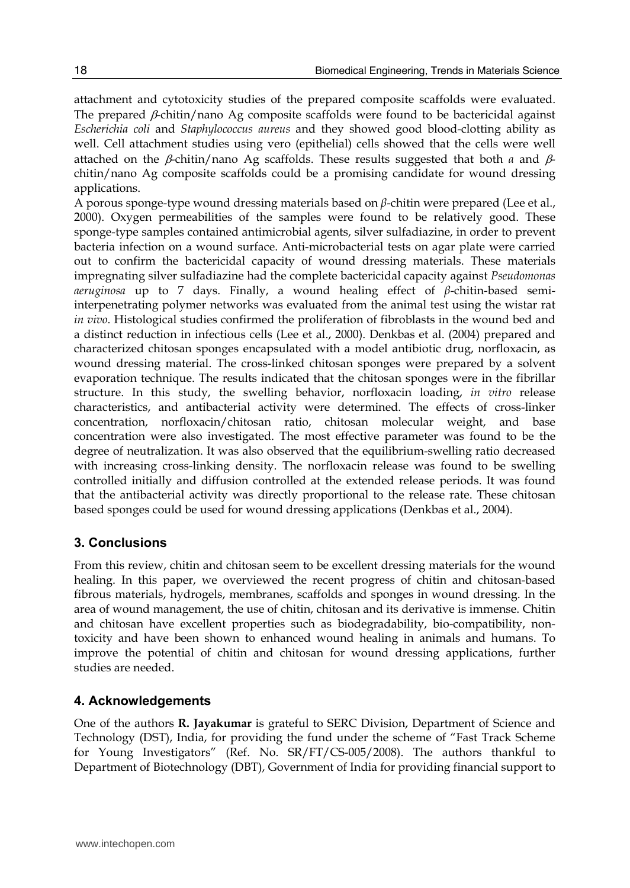attachment and cytotoxicity studies of the prepared composite scaffolds were evaluated. The prepared β-chitin/nano Ag composite scaffolds were found to be bactericidal against *Escherichia coli* and *Staphylococcus aureus* and they showed good blood-clotting ability as well. Cell attachment studies using vero (epithelial) cells showed that the cells were well attached on the *β*-chitin/nano Ag scaffolds. These results suggested that both *a* and *β*chitin/nano Ag composite scaffolds could be a promising candidate for wound dressing applications.

A porous sponge-type wound dressing materials based on *┚*-chitin were prepared (Lee et al., 2000). Oxygen permeabilities of the samples were found to be relatively good. These sponge-type samples contained antimicrobial agents, silver sulfadiazine, in order to prevent bacteria infection on a wound surface. Anti-microbacterial tests on agar plate were carried out to confirm the bactericidal capacity of wound dressing materials. These materials impregnating silver sulfadiazine had the complete bactericidal capacity against *Pseudomonas aeruginosa* up to 7 days. Finally, a wound healing effect of *┚*-chitin-based semiinterpenetrating polymer networks was evaluated from the animal test using the wistar rat *in vivo*. Histological studies confirmed the proliferation of fibroblasts in the wound bed and a distinct reduction in infectious cells (Lee et al., 2000). Denkbas et al. (2004) prepared and characterized chitosan sponges encapsulated with a model antibiotic drug, norfloxacin, as wound dressing material. The cross-linked chitosan sponges were prepared by a solvent evaporation technique. The results indicated that the chitosan sponges were in the fibrillar structure. In this study, the swelling behavior, norfloxacin loading, *in vitro* release characteristics, and antibacterial activity were determined. The effects of cross-linker concentration, norfloxacin/chitosan ratio, chitosan molecular weight, and base concentration were also investigated. The most effective parameter was found to be the degree of neutralization. It was also observed that the equilibrium-swelling ratio decreased with increasing cross-linking density. The norfloxacin release was found to be swelling controlled initially and diffusion controlled at the extended release periods. It was found that the antibacterial activity was directly proportional to the release rate. These chitosan based sponges could be used for wound dressing applications (Denkbas et al., 2004).

# **3. Conclusions**

From this review, chitin and chitosan seem to be excellent dressing materials for the wound healing. In this paper, we overviewed the recent progress of chitin and chitosan-based fibrous materials, hydrogels, membranes, scaffolds and sponges in wound dressing. In the area of wound management, the use of chitin, chitosan and its derivative is immense. Chitin and chitosan have excellent properties such as biodegradability, bio-compatibility, nontoxicity and have been shown to enhanced wound healing in animals and humans. To improve the potential of chitin and chitosan for wound dressing applications, further studies are needed.

# **4. Acknowledgements**

One of the authors **R. Jayakumar** is grateful to SERC Division, Department of Science and Technology (DST), India, for providing the fund under the scheme of "Fast Track Scheme for Young Investigators" (Ref. No. SR/FT/CS-005/2008). The authors thankful to Department of Biotechnology (DBT), Government of India for providing financial support to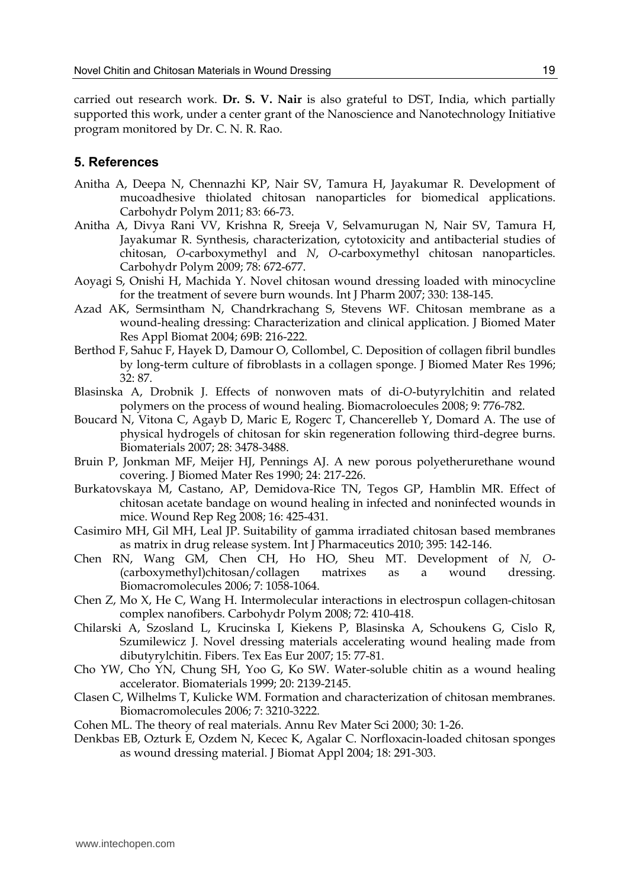carried out research work. **Dr. S. V. Nair** is also grateful to DST, India, which partially supported this work, under a center grant of the Nanoscience and Nanotechnology Initiative program monitored by Dr. C. N. R. Rao.

#### **5. References**

- Anitha A, Deepa N, Chennazhi KP, Nair SV, Tamura H, Jayakumar R. Development of mucoadhesive thiolated chitosan nanoparticles for biomedical applications. Carbohydr Polym 2011; 83: 66-73.
- Anitha A, Divya Rani VV, Krishna R, Sreeja V, Selvamurugan N, Nair SV, Tamura H, Jayakumar R. Synthesis, characterization, cytotoxicity and antibacterial studies of chitosan, *O*-carboxymethyl and *N*, *O*-carboxymethyl chitosan nanoparticles. Carbohydr Polym 2009; 78: 672-677.
- Aoyagi S, Onishi H, Machida Y. Novel chitosan wound dressing loaded with minocycline for the treatment of severe burn wounds. Int J Pharm 2007; 330: 138-145.
- Azad AK, Sermsintham N, Chandrkrachang S, Stevens WF. Chitosan membrane as a wound-healing dressing: Characterization and clinical application. J Biomed Mater Res Appl Biomat 2004; 69B: 216-222.
- Berthod F, Sahuc F, Hayek D, Damour O, Collombel, C. Deposition of collagen fibril bundles by long-term culture of fibroblasts in a collagen sponge. J Biomed Mater Res 1996; 32: 87.
- Blasinska A, Drobnik J. Effects of nonwoven mats of di-*O*-butyrylchitin and related polymers on the process of wound healing. Biomacroloecules 2008; 9: 776-782.
- Boucard N, Vitona C, Agayb D, Maric E, Rogerc T, Chancerelleb Y, Domard A. The use of physical hydrogels of chitosan for skin regeneration following third-degree burns. Biomaterials 2007; 28: 3478-3488.
- Bruin P, Jonkman MF, Meijer HJ, Pennings AJ. A new porous polyetherurethane wound covering. J Biomed Mater Res 1990; 24: 217-226.
- Burkatovskaya M, Castano, AP, Demidova-Rice TN, Tegos GP, Hamblin MR. Effect of chitosan acetate bandage on wound healing in infected and noninfected wounds in mice. Wound Rep Reg 2008; 16: 425-431.
- Casimiro MH, Gil MH, Leal JP. Suitability of gamma irradiated chitosan based membranes as matrix in drug release system. Int J Pharmaceutics 2010; 395: 142-146.
- Chen RN, Wang GM, Chen CH, Ho HO, Sheu MT. Development of *N, O* (carboxymethyl)chitosan/collagen matrixes as a wound dressing. Biomacromolecules 2006; 7: 1058-1064.
- Chen Z, Mo X, He C, Wang H. Intermolecular interactions in electrospun collagen-chitosan complex nanofibers. Carbohydr Polym 2008; 72: 410-418.
- Chilarski A, Szosland L, Krucinska I, Kiekens P, Blasinska A, Schoukens G, Cislo R, Szumilewicz J. Novel dressing materials accelerating wound healing made from dibutyrylchitin. Fibers. Tex Eas Eur 2007; 15: 77-81.
- Cho YW, Cho YN, Chung SH, Yoo G, Ko SW. Water-soluble chitin as a wound healing accelerator. Biomaterials 1999; 20: 2139-2145.
- Clasen C, Wilhelms T, Kulicke WM. Formation and characterization of chitosan membranes. Biomacromolecules 2006; 7: 3210-3222.
- Cohen ML. The theory of real materials. Annu Rev Mater Sci 2000; 30: 1-26.
- Denkbas EB, Ozturk E, Ozdem N, Kecec K, Agalar C. Norfloxacin-loaded chitosan sponges as wound dressing material. J Biomat Appl 2004; 18: 291-303.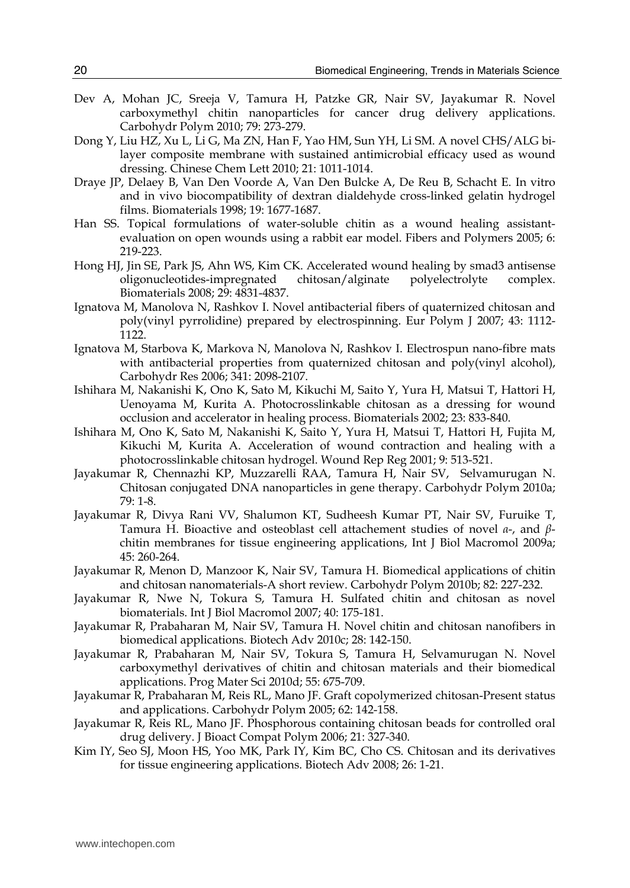- Dev A, Mohan JC, Sreeja V, Tamura H, Patzke GR, Nair SV, Jayakumar R. Novel carboxymethyl chitin nanoparticles for cancer drug delivery applications. Carbohydr Polym 2010; 79: 273-279.
- Dong Y, Liu HZ, Xu L, Li G, Ma ZN, Han F, Yao HM, Sun YH, Li SM. A novel CHS/ALG bilayer composite membrane with sustained antimicrobial efficacy used as wound dressing. Chinese Chem Lett 2010; 21: 1011-1014.
- Draye JP, Delaey B, Van Den Voorde A, Van Den Bulcke A, De Reu B, Schacht E. In vitro and in vivo biocompatibility of dextran dialdehyde cross-linked gelatin hydrogel films. Biomaterials 1998; 19: 1677-1687.
- Han SS. Topical formulations of water-soluble chitin as a wound healing assistantevaluation on open wounds using a rabbit ear model. Fibers and Polymers 2005; 6: 219-223.
- Hong HJ, Jin SE, Park JS, Ahn WS, Kim CK. Accelerated wound healing by smad3 antisense<br>oligonucleotides-impregnated chitosan/alginate polyelectrolyte complex. oligonucleotides-impregnated chitosan/alginate polyelectrolyte complex. Biomaterials 2008; 29: 4831-4837.
- Ignatova M, Manolova N, Rashkov I. Novel antibacterial fibers of quaternized chitosan and poly(vinyl pyrrolidine) prepared by electrospinning. Eur Polym J 2007; 43: 1112- 1122.
- Ignatova M, Starbova K, Markova N, Manolova N, Rashkov I. Electrospun nano-fibre mats with antibacterial properties from quaternized chitosan and poly(vinyl alcohol), Carbohydr Res 2006; 341: 2098-2107.
- Ishihara M, Nakanishi K, Ono K, Sato M, Kikuchi M, Saito Y, Yura H, Matsui T, Hattori H, Uenoyama M, Kurita A. Photocrosslinkable chitosan as a dressing for wound occlusion and accelerator in healing process. Biomaterials 2002; 23: 833-840.
- Ishihara M, Ono K, Sato M, Nakanishi K, Saito Y, Yura H, Matsui T, Hattori H, Fujita M, Kikuchi M, Kurita A. Acceleration of wound contraction and healing with a photocrosslinkable chitosan hydrogel. Wound Rep Reg 2001; 9: 513-521.
- Jayakumar R, Chennazhi KP, Muzzarelli RAA, Tamura H, Nair SV, Selvamurugan N. Chitosan conjugated DNA nanoparticles in gene therapy. Carbohydr Polym 2010a; 79: 1-8.
- Jayakumar R, Divya Rani VV, Shalumon KT, Sudheesh Kumar PT, Nair SV, Furuike T, Tamura H. Bioactive and osteoblast cell attachement studies of novel *a*-, and *β*chitin membranes for tissue engineering applications, Int J Biol Macromol 2009a; 45: 260-264.
- Jayakumar R, Menon D, Manzoor K, Nair SV, Tamura H. Biomedical applications of chitin and chitosan nanomaterials-A short review. Carbohydr Polym 2010b; 82: 227-232.
- Jayakumar R, Nwe N, Tokura S, Tamura H. Sulfated chitin and chitosan as novel biomaterials. Int J Biol Macromol 2007; 40: 175-181.
- Jayakumar R, Prabaharan M, Nair SV, Tamura H. Novel chitin and chitosan nanofibers in biomedical applications. Biotech Adv 2010c; 28: 142-150.
- Jayakumar R, Prabaharan M, Nair SV, Tokura S, Tamura H, Selvamurugan N. Novel carboxymethyl derivatives of chitin and chitosan materials and their biomedical applications. Prog Mater Sci 2010d; 55: 675-709.
- Jayakumar R, Prabaharan M, Reis RL, Mano JF. Graft copolymerized chitosan-Present status and applications. Carbohydr Polym 2005; 62: 142-158.
- Jayakumar R, Reis RL, Mano JF. Phosphorous containing chitosan beads for controlled oral drug delivery. J Bioact Compat Polym 2006; 21: 327-340.
- Kim IY, Seo SJ, Moon HS, Yoo MK, Park IY, Kim BC, Cho CS. Chitosan and its derivatives for tissue engineering applications. Biotech Adv 2008; 26: 1-21.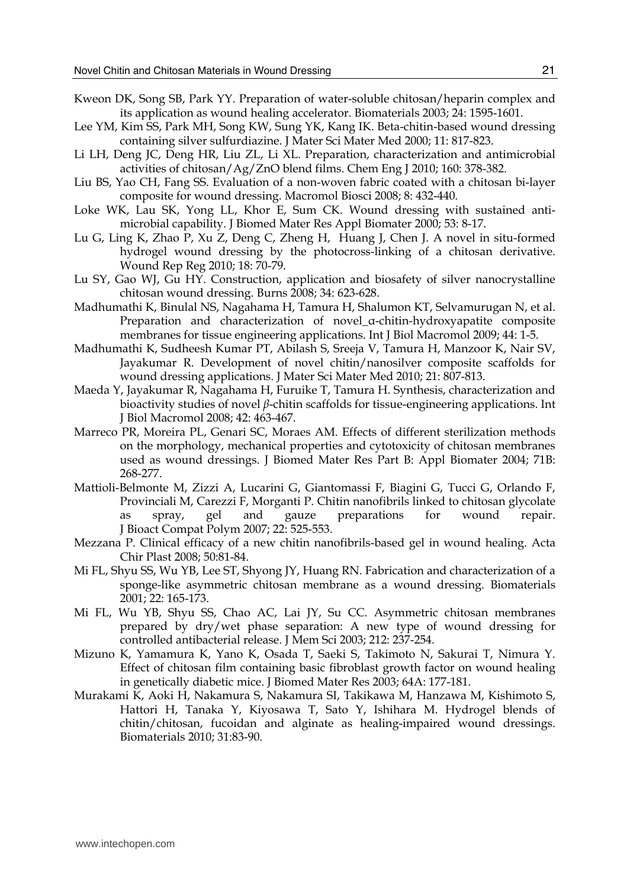- Kweon DK, Song SB, Park YY. Preparation of water-soluble chitosan/heparin complex and its application as wound healing accelerator. Biomaterials 2003; 24: 1595-1601.
- Lee YM, Kim SS, Park MH, Song KW, Sung YK, Kang IK. Beta-chitin-based wound dressing containing silver sulfurdiazine. J Mater Sci Mater Med 2000; 11: 817-823.
- Li LH, Deng JC, Deng HR, Liu ZL, Li XL. Preparation, characterization and antimicrobial activities of chitosan/Ag/ZnO blend films. Chem Eng J 2010; 160: 378-382.
- Liu BS, Yao CH, Fang SS. Evaluation of a non-woven fabric coated with a chitosan bi-layer composite for wound dressing. Macromol Biosci 2008; 8: 432-440.
- Loke WK, Lau SK, Yong LL, Khor E, Sum CK. Wound dressing with sustained antimicrobial capability. J Biomed Mater Res Appl Biomater 2000; 53: 8-17.
- Lu G, Ling K, Zhao P, Xu Z, Deng C, Zheng H, Huang J, Chen J. A novel in situ-formed hydrogel wound dressing by the photocross-linking of a chitosan derivative. Wound Rep Reg 2010; 18: 70-79.
- Lu SY, Gao WJ, Gu HY. Construction, application and biosafety of silver nanocrystalline chitosan wound dressing. Burns 2008; 34: 623-628.
- Madhumathi K, Binulal NS, Nagahama H, Tamura H, Shalumon KT, Selvamurugan N, et al. Preparation and characterization of novel\_a-chitin-hydroxyapatite composite membranes for tissue engineering applications. Int J Biol Macromol 2009; 44: 1-5.
- Madhumathi K, Sudheesh Kumar PT, Abilash S, Sreeja V, Tamura H, Manzoor K, Nair SV, Jayakumar R. Development of novel chitin/nanosilver composite scaffolds for wound dressing applications. J Mater Sci Mater Med 2010; 21: 807-813.
- Maeda Y, Jayakumar R, Nagahama H, Furuike T, Tamura H. Synthesis, characterization and bioactivity studies of novel *┚*-chitin scaffolds for tissue-engineering applications. Int J Biol Macromol 2008; 42: 463-467.
- Marreco PR, Moreira PL, Genari SC, Moraes AM. Effects of different sterilization methods on the morphology, mechanical properties and cytotoxicity of chitosan membranes used as wound dressings. J Biomed Mater Res Part B: Appl Biomater 2004; 71B: 268-277.
- Mattioli-Belmonte M, Zizzi A, Lucarini G, Giantomassi F, Biagini G, Tucci G, Orlando F, Provinciali M, Carezzi F, Morganti P. Chitin nanofibrils linked to chitosan glycolate as spray, gel and gauze preparations for wound repair. as spray, gel and gauze preparations for wound repair. J Bioact Compat Polym 2007; 22: 525-553.
- Mezzana P. Clinical efficacy of a new chitin nanofibrils-based gel in wound healing. Acta Chir Plast 2008; 50:81-84.
- Mi FL, Shyu SS, Wu YB, Lee ST, Shyong JY, Huang RN. Fabrication and characterization of a sponge-like asymmetric chitosan membrane as a wound dressing. Biomaterials 2001; 22: 165-173.
- Mi FL, Wu YB, Shyu SS, Chao AC, Lai JY, Su CC. Asymmetric chitosan membranes prepared by dry/wet phase separation: A new type of wound dressing for controlled antibacterial release. J Mem Sci 2003; 212: 237-254.
- Mizuno K, Yamamura K, Yano K, Osada T, Saeki S, Takimoto N, Sakurai T, Nimura Y. Effect of chitosan film containing basic fibroblast growth factor on wound healing in genetically diabetic mice. J Biomed Mater Res 2003; 64A: 177-181.
- Murakami K, Aoki H, Nakamura S, Nakamura SI, Takikawa M, Hanzawa M, Kishimoto S, Hattori H, Tanaka Y, Kiyosawa T, Sato Y, Ishihara M. Hydrogel blends of chitin/chitosan, fucoidan and alginate as healing-impaired wound dressings. Biomaterials 2010; 31:83-90.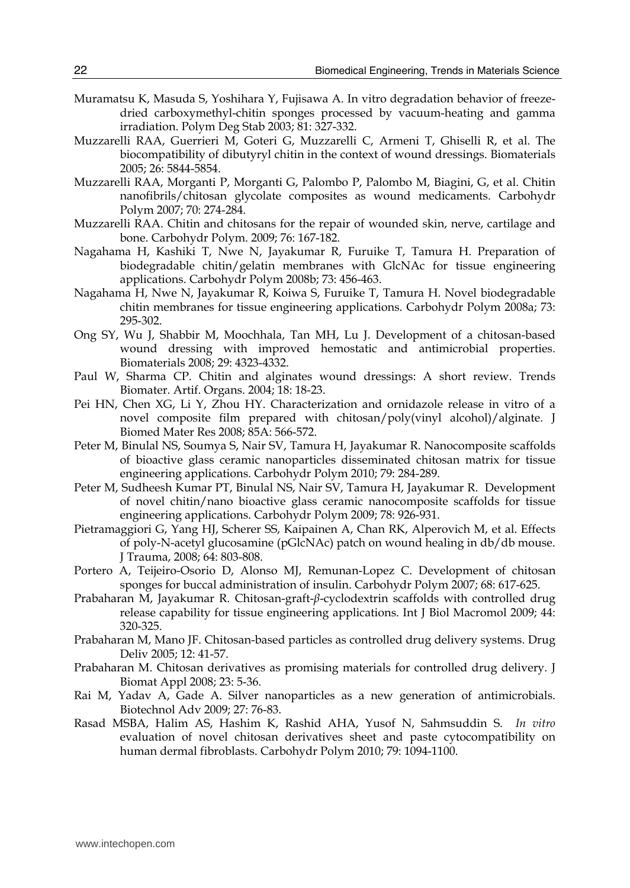- Muramatsu K, Masuda S, Yoshihara Y, Fujisawa A. In vitro degradation behavior of freezedried carboxymethyl-chitin sponges processed by vacuum-heating and gamma irradiation. Polym Deg Stab 2003; 81: 327-332.
- Muzzarelli RAA, Guerrieri M, Goteri G, Muzzarelli C, Armeni T, Ghiselli R, et al. The biocompatibility of dibutyryl chitin in the context of wound dressings. Biomaterials 2005; 26: 5844-5854.
- Muzzarelli RAA, Morganti P, Morganti G, Palombo P, Palombo M, Biagini, G, et al. Chitin nanofibrils/chitosan glycolate composites as wound medicaments. Carbohydr Polym 2007; 70: 274-284.
- Muzzarelli RAA. Chitin and chitosans for the repair of wounded skin, nerve, cartilage and bone. Carbohydr Polym. 2009; 76: 167-182.
- Nagahama H, Kashiki T, Nwe N, Jayakumar R, Furuike T, Tamura H. Preparation of biodegradable chitin/gelatin membranes with GlcNAc for tissue engineering applications. Carbohydr Polym 2008b; 73: 456-463.
- Nagahama H, Nwe N, Jayakumar R, Koiwa S, Furuike T, Tamura H. Novel biodegradable chitin membranes for tissue engineering applications. Carbohydr Polym 2008a; 73: 295-302.
- Ong SY, Wu J, Shabbir M, Moochhala, Tan MH, Lu J. Development of a chitosan-based wound dressing with improved hemostatic and antimicrobial properties. Biomaterials 2008; 29: 4323-4332.
- Paul W, Sharma CP. Chitin and alginates wound dressings: A short review. Trends Biomater. Artif. Organs. 2004; 18: 18-23.
- Pei HN, Chen XG, Li Y, Zhou HY. Characterization and ornidazole release in vitro of a novel composite film prepared with chitosan/poly(vinyl alcohol)/alginate. J Biomed Mater Res 2008; 85A: 566-572.
- Peter M, Binulal NS, Soumya S, Nair SV, Tamura H, Jayakumar R. Nanocomposite scaffolds of bioactive glass ceramic nanoparticles disseminated chitosan matrix for tissue engineering applications. Carbohydr Polym 2010; 79: 284-289.
- Peter M, Sudheesh Kumar PT, Binulal NS, Nair SV, Tamura H, Jayakumar R. Development of novel chitin/nano bioactive glass ceramic nanocomposite scaffolds for tissue engineering applications. Carbohydr Polym 2009; 78: 926-931.
- Pietramaggiori G, Yang HJ, Scherer SS, Kaipainen A, Chan RK, Alperovich M, et al. Effects of poly-N-acetyl glucosamine (pGlcNAc) patch on wound healing in db/db mouse. J Trauma, 2008; 64: 803-808.
- Portero A, Teijeiro-Osorio D, Alonso MJ, Remunan-Lopez C. Development of chitosan sponges for buccal administration of insulin. Carbohydr Polym 2007; 68: 617-625.
- Prabaharan M, Jayakumar R. Chitosan-graft-β-cyclodextrin scaffolds with controlled drug release capability for tissue engineering applications. Int J Biol Macromol 2009; 44: 320-325.
- Prabaharan M, Mano JF. Chitosan-based particles as controlled drug delivery systems. Drug Deliv 2005; 12: 41-57.
- Prabaharan M. Chitosan derivatives as promising materials for controlled drug delivery. J Biomat Appl 2008; 23: 5-36.
- Rai M, Yadav A, Gade A. Silver nanoparticles as a new generation of antimicrobials. Biotechnol Adv 2009; 27: 76-83.
- Rasad MSBA, Halim AS, Hashim K, Rashid AHA, Yusof N, Sahmsuddin S. *In vitro* evaluation of novel chitosan derivatives sheet and paste cytocompatibility on human dermal fibroblasts. Carbohydr Polym 2010; 79: 1094-1100.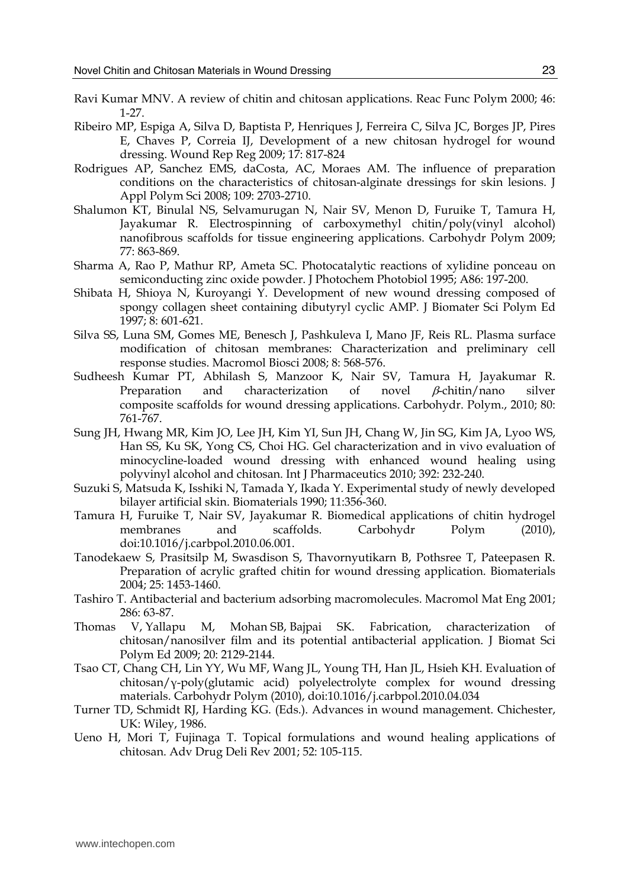- Ravi Kumar MNV. A review of chitin and chitosan applications. Reac Func Polym 2000; 46: 1-27.
- Ribeiro MP, Espiga A, Silva D, Baptista P, Henriques J, Ferreira C, Silva JC, Borges JP, Pires E, Chaves P, Correia IJ, Development of a new chitosan hydrogel for wound dressing. Wound Rep Reg 2009; 17: 817-824
- Rodrigues AP, Sanchez EMS, daCosta, AC, Moraes AM. The influence of preparation conditions on the characteristics of chitosan-alginate dressings for skin lesions. J Appl Polym Sci 2008; 109: 2703-2710.
- Shalumon KT, Binulal NS, Selvamurugan N, Nair SV, Menon D, Furuike T, Tamura H, Jayakumar R. Electrospinning of carboxymethyl chitin/poly(vinyl alcohol) nanofibrous scaffolds for tissue engineering applications. Carbohydr Polym 2009; 77: 863-869.
- Sharma A, Rao P, Mathur RP, Ameta SC. Photocatalytic reactions of xylidine ponceau on semiconducting zinc oxide powder. J Photochem Photobiol 1995; A86: 197-200.
- Shibata H, Shioya N, Kuroyangi Y. Development of new wound dressing composed of spongy collagen sheet containing dibutyryl cyclic AMP. J Biomater Sci Polym Ed 1997; 8: 601-621.
- Silva SS, Luna SM, Gomes ME, Benesch J, Pashkuleva I, Mano JF, Reis RL. Plasma surface modification of chitosan membranes: Characterization and preliminary cell response studies. Macromol Biosci 2008; 8: 568-576.
- Sudheesh Kumar PT, Abhilash S, Manzoor K, Nair SV, Tamura H, Jayakumar R. Preparation and characterization of novel  $\beta$ -chitin/nano silver composite scaffolds for wound dressing applications. Carbohydr. Polym., 2010; 80: 761-767.
- Sung JH, Hwang MR, Kim JO, Lee JH, Kim YI, Sun JH, Chang W, Jin SG, Kim JA, Lyoo WS, Han SS, Ku SK, Yong CS, Choi HG. Gel characterization and in vivo evaluation of minocycline-loaded wound dressing with enhanced wound healing using polyvinyl alcohol and chitosan. Int J Pharmaceutics 2010; 392: 232-240.
- Suzuki S, Matsuda K, Isshiki N, Tamada Y, Ikada Y. Experimental study of newly developed bilayer artificial skin. Biomaterials 1990; 11:356-360.
- Tamura H, Furuike T, Nair SV, Jayakumar R. Biomedical applications of chitin hydrogel and scaffolds. Carbohydr Polym doi:10.1016/j.carbpol.2010.06.001.
- Tanodekaew S, Prasitsilp M, Swasdison S, Thavornyutikarn B, Pothsree T, Pateepasen R. Preparation of acrylic grafted chitin for wound dressing application. Biomaterials 2004; 25: 1453-1460.
- Tashiro T. Antibacterial and bacterium adsorbing macromolecules. Macromol Mat Eng 2001; 286: 63-87.
- Thomas V, Yallapu M, Mohan SB, Bajpai SK. Fabrication, characterization of chitosan/nanosilver film and its potential antibacterial application. J Biomat Sci Polym Ed 2009; 20: 2129-2144.
- Tsao CT, Chang CH, Lin YY, Wu MF, Wang JL, Young TH, Han JL, Hsieh KH. Evaluation of  $chitosan/y-poly(glutamic acid) polyelectrolyte complex for wound dressing$ materials. Carbohydr Polym (2010), doi:10.1016/j.carbpol.2010.04.034
- Turner TD, Schmidt RJ, Harding KG. (Eds.). Advances in wound management. Chichester, UK: Wiley, 1986.
- Ueno H, Mori T, Fujinaga T. Topical formulations and wound healing applications of chitosan. Adv Drug Deli Rev 2001; 52: 105-115.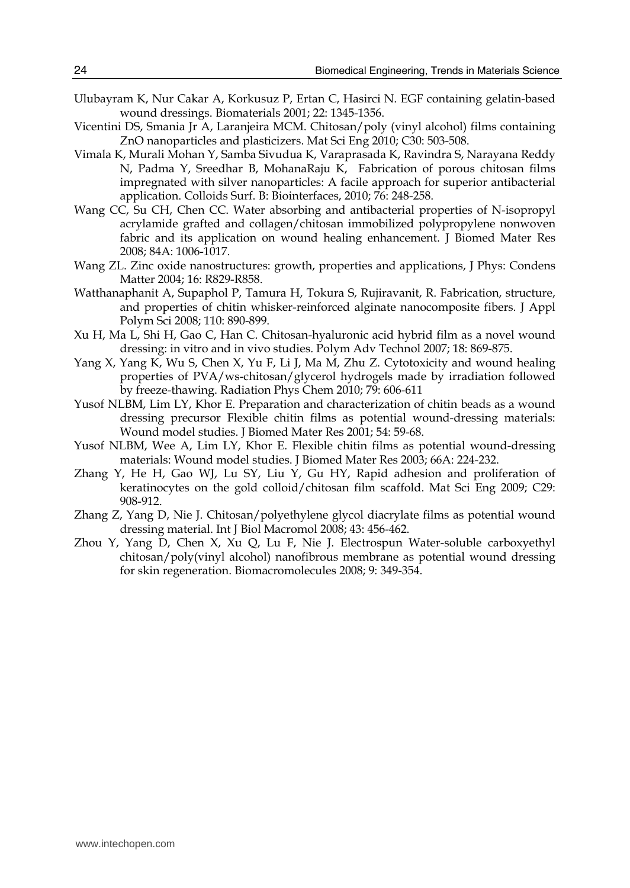- Ulubayram K, Nur Cakar A, Korkusuz P, Ertan C, Hasirci N. EGF containing gelatin-based wound dressings. Biomaterials 2001; 22: 1345-1356.
- Vicentini DS, Smania Jr A, Laranjeira MCM. Chitosan/poly (vinyl alcohol) films containing ZnO nanoparticles and plasticizers. Mat Sci Eng 2010; C30: 503-508.
- Vimala K, Murali Mohan Y, Samba Sivudua K, Varaprasada K, Ravindra S, Narayana Reddy N, Padma Y, Sreedhar B, MohanaRaju K, Fabrication of porous chitosan films impregnated with silver nanoparticles: A facile approach for superior antibacterial application. Colloids Surf. B: Biointerfaces, 2010; 76: 248-258.
- Wang CC, Su CH, Chen CC. Water absorbing and antibacterial properties of N-isopropyl acrylamide grafted and collagen/chitosan immobilized polypropylene nonwoven fabric and its application on wound healing enhancement. J Biomed Mater Res 2008; 84A: 1006-1017.
- Wang ZL. Zinc oxide nanostructures: growth, properties and applications, J Phys: Condens Matter 2004; 16: R829-R858.
- Watthanaphanit A, Supaphol P, Tamura H, Tokura S, Rujiravanit, R. Fabrication, structure, and properties of chitin whisker-reinforced alginate nanocomposite fibers. J Appl Polym Sci 2008; 110: 890-899.
- Xu H, Ma L, Shi H, Gao C, Han C. Chitosan-hyaluronic acid hybrid film as a novel wound dressing: in vitro and in vivo studies. Polym Adv Technol 2007; 18: 869-875.
- Yang X, Yang K, Wu S, Chen X, Yu F, Li J, Ma M, Zhu Z. Cytotoxicity and wound healing properties of PVA/ws-chitosan/glycerol hydrogels made by irradiation followed by freeze-thawing. Radiation Phys Chem 2010; 79: 606-611
- Yusof NLBM, Lim LY, Khor E. Preparation and characterization of chitin beads as a wound dressing precursor Flexible chitin films as potential wound-dressing materials: Wound model studies. J Biomed Mater Res 2001; 54: 59-68.
- Yusof NLBM, Wee A, Lim LY, Khor E. Flexible chitin films as potential wound-dressing materials: Wound model studies. J Biomed Mater Res 2003; 66A: 224-232.
- Zhang Y, He H, Gao WJ, Lu SY, Liu Y, Gu HY, Rapid adhesion and proliferation of keratinocytes on the gold colloid/chitosan film scaffold. Mat Sci Eng 2009; C29: 908-912.
- Zhang Z, Yang D, Nie J. Chitosan/polyethylene glycol diacrylate films as potential wound dressing material. Int J Biol Macromol 2008; 43: 456-462.
- Zhou Y, Yang D, Chen X, Xu Q, Lu F, Nie J. Electrospun Water-soluble carboxyethyl chitosan/poly(vinyl alcohol) nanofibrous membrane as potential wound dressing for skin regeneration. Biomacromolecules 2008; 9: 349-354.